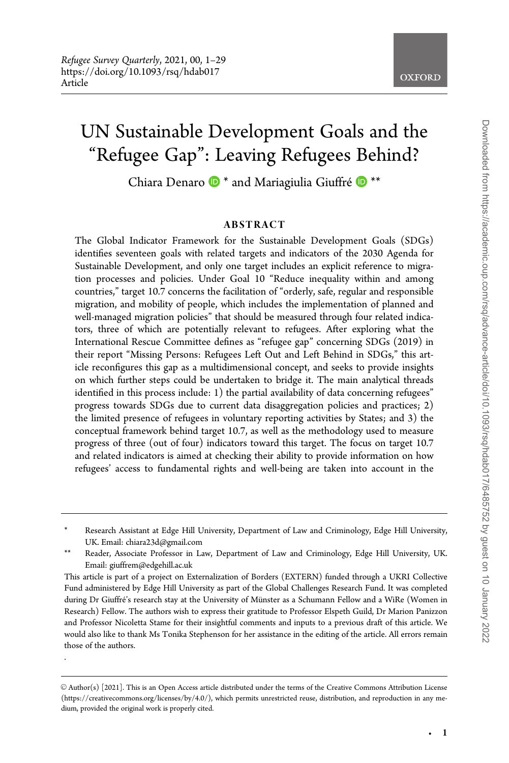.

# UN Sustainable Development Goals and the "Refugee Gap": Leaving Refugees Behind?

Chiara Denaro  $\mathbf{D}^*$  and Mariagiulia Giuffré  $\mathbf{D}^{**}$ 

#### ABSTRACT

The Global Indicator Framework for the Sustainable Development Goals (SDGs) identifies seventeen goals with related targets and indicators of the 2030 Agenda for Sustainable Development, and only one target includes an explicit reference to migration processes and policies. Under Goal 10 "Reduce inequality within and among countries," target 10.7 concerns the facilitation of "orderly, safe, regular and responsible migration, and mobility of people, which includes the implementation of planned and well-managed migration policies" that should be measured through four related indicators, three of which are potentially relevant to refugees. After exploring what the International Rescue Committee defines as "refugee gap" concerning SDGs (2019) in their report "Missing Persons: Refugees Left Out and Left Behind in SDGs," this article reconfigures this gap as a multidimensional concept, and seeks to provide insights on which further steps could be undertaken to bridge it. The main analytical threads identified in this process include: 1) the partial availability of data concerning refugees" progress towards SDGs due to current data disaggregation policies and practices; 2) the limited presence of refugees in voluntary reporting activities by States; and 3) the conceptual framework behind target 10.7, as well as the methodology used to measure progress of three (out of four) indicators toward this target. The focus on target 10.7 and related indicators is aimed at checking their ability to provide information on how refugees' access to fundamental rights and well-being are taken into account in the

<sup>\*</sup> Research Assistant at Edge Hill University, Department of Law and Criminology, Edge Hill University, UK. Email: chiara23d@gmail.com

<sup>\*\*</sup> Reader, Associate Professor in Law, Department of Law and Criminology, Edge Hill University, UK. Email: giuffrem@edgehill.ac.uk

This article is part of a project on Externalization of Borders (EXTERN) funded through a UKRI Collective Fund administered by Edge Hill University as part of the Global Challenges Research Fund. It was completed during Dr Giuffré's research stay at the University of Münster as a Schumann Fellow and a WiRe (Women in Research) Fellow. The authors wish to express their gratitude to Professor Elspeth Guild, Dr Marion Panizzon and Professor Nicoletta Stame for their insightful comments and inputs to a previous draft of this article. We would also like to thank Ms Tonika Stephenson for her assistance in the editing of the article. All errors remain those of the authors.

 $\odot$  Author(s) [2021]. This is an Open Access article distributed under the terms of the Creative Commons Attribution License (https://creativecommons.org/licenses/by/4.0/), which permits unrestricted reuse, distribution, and reproduction in any medium, provided the original work is properly cited.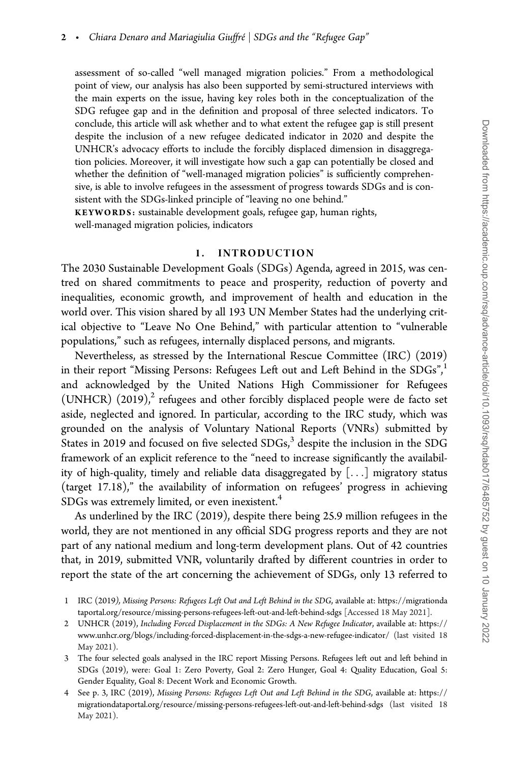assessment of so-called "well managed migration policies." From a methodological point of view, our analysis has also been supported by semi-structured interviews with the main experts on the issue, having key roles both in the conceptualization of the SDG refugee gap and in the definition and proposal of three selected indicators. To conclude, this article will ask whether and to what extent the refugee gap is still present despite the inclusion of a new refugee dedicated indicator in 2020 and despite the UNHCR's advocacy efforts to include the forcibly displaced dimension in disaggregation policies. Moreover, it will investigate how such a gap can potentially be closed and whether the definition of "well-managed migration policies" is sufficiently comprehensive, is able to involve refugees in the assessment of progress towards SDGs and is consistent with the SDGs-linked principle of "leaving no one behind."

KEYWORDS: sustainable development goals, refugee gap, human rights, well-managed migration policies, indicators

#### 1. INTRODUCTION

The 2030 Sustainable Development Goals (SDGs) Agenda, agreed in 2015, was centred on shared commitments to peace and prosperity, reduction of poverty and inequalities, economic growth, and improvement of health and education in the world over. This vision shared by all 193 UN Member States had the underlying critical objective to "Leave No One Behind," with particular attention to "vulnerable populations," such as refugees, internally displaced persons, and migrants.

Nevertheless, as stressed by the International Rescue Committee (IRC) (2019) in their report "Missing Persons: Refugees Left out and Left Behind in the  $SDGs''$ , and acknowledged by the United Nations High Commissioner for Refugees (UNHCR)  $(2019)<sup>2</sup>$  refugees and other forcibly displaced people were de facto set aside, neglected and ignored. In particular, according to the IRC study, which was grounded on the analysis of Voluntary National Reports (VNRs) submitted by States in 2019 and focused on five selected  $SDGs$ ,<sup>3</sup> despite the inclusion in the SDG framework of an explicit reference to the "need to increase significantly the availability of high-quality, timely and reliable data disaggregated by [...] migratory status (target 17.18)," the availability of information on refugees' progress in achieving  $SDGs$  was extremely limited, or even inexistent.<sup>4</sup>

As underlined by the IRC (2019), despite there being 25.9 million refugees in the world, they are not mentioned in any official SDG progress reports and they are not part of any national medium and long-term development plans. Out of 42 countries that, in 2019, submitted VNR, voluntarily drafted by different countries in order to report the state of the art concerning the achievement of SDGs, only 13 referred to

- 2 UNHCR (2019), Including Forced Displacement in the SDGs: A New Refugee Indicator, available at: [https://](https://www.unhcr.org/blogs/including-forced-displacement-in-the-sdgs-a-new-refugee-indicator/) [www.unhcr.org/blogs/including-forced-displacement-in-the-sdgs-a-new-refugee-indicator/](https://www.unhcr.org/blogs/including-forced-displacement-in-the-sdgs-a-new-refugee-indicator/) (last visited 18 May 2021).
- 3 The four selected goals analysed in the IRC report Missing Persons. Refugees left out and left behind in SDGs (2019), were: Goal 1: Zero Poverty, Goal 2: Zero Hunger, Goal 4: Quality Education, Goal 5: Gender Equality, Goal 8: Decent Work and Economic Growth.
- 4 See p. 3, IRC (2019), Missing Persons: Refugees Left Out and Left Behind in the SDG, available at: [https://](https://migrationdataportal.org/resource/missing-persons-refugees-left-out-and-left-behind-sdgs) [migrationdataportal.org/resource/missing-persons-refugees-left-out-and-left-behind-sdgs](https://migrationdataportal.org/resource/missing-persons-refugees-left-out-and-left-behind-sdgs) (last visited 18 May 2021).

<sup>1</sup> IRC (2019), Missing Persons: Refugees Left Out and Left Behind in the SDG, available at: [https://migrationda](https://migrationdataportal.org/resource/missing-persons-refugees-left-out-and-left-behind-sdgs) [taportal.org/resource/missing-persons-refugees-left-out-and-left-behind-sdgs](https://migrationdataportal.org/resource/missing-persons-refugees-left-out-and-left-behind-sdgs) [Accessed 18 May 2021].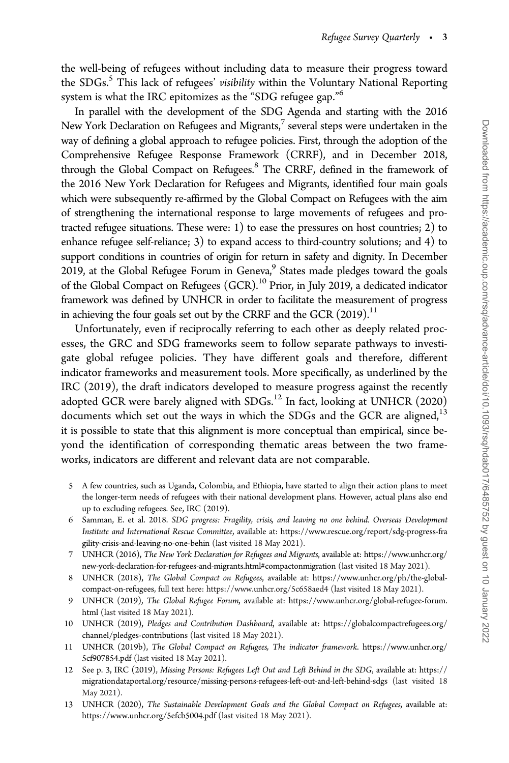the well-being of refugees without including data to measure their progress toward the SDGs.<sup>5</sup> This lack of refugees' visibility within the Voluntary National Reporting system is what the IRC epitomizes as the "SDG refugee gap."<sup>6</sup>

In parallel with the development of the SDG Agenda and starting with the 2016 New York Declaration on Refugees and Migrants, $^7$  several steps were undertaken in the way of defining a global approach to refugee policies. First, through the adoption of the Comprehensive Refugee Response Framework (CRRF), and in December 2018, through the Global Compact on Refugees.<sup>8</sup> The CRRF, defined in the framework of the 2016 New York Declaration for Refugees and Migrants, identified four main goals which were subsequently re-affirmed by the Global Compact on Refugees with the aim of strengthening the international response to large movements of refugees and protracted refugee situations. These were: 1) to ease the pressures on host countries; 2) to enhance refugee self-reliance; 3) to expand access to third-country solutions; and 4) to support conditions in countries of origin for return in safety and dignity. In December 2019, at the Global Refugee Forum in Geneva,<sup>9</sup> States made pledges toward the goals of the Global Compact on Refugees (GCR).10 Prior, in July 2019, a dedicated indicator framework was defined by UNHCR in order to facilitate the measurement of progress in achieving the four goals set out by the CRRF and the GCR  $(2019)^{11}$ 

Unfortunately, even if reciprocally referring to each other as deeply related processes, the GRC and SDG frameworks seem to follow separate pathways to investigate global refugee policies. They have different goals and therefore, different indicator frameworks and measurement tools. More specifically, as underlined by the IRC (2019), the draft indicators developed to measure progress against the recently adopted GCR were barely aligned with SDGs.<sup>12</sup> In fact, looking at UNHCR (2020) documents which set out the ways in which the SDGs and the GCR are aligned, $13$ it is possible to state that this alignment is more conceptual than empirical, since beyond the identification of corresponding thematic areas between the two frameworks, indicators are different and relevant data are not comparable.

- 5 A few countries, such as Uganda, Colombia, and Ethiopia, have started to align their action plans to meet the longer-term needs of refugees with their national development plans. However, actual plans also end up to excluding refugees. See, IRC (2019).
- 6 Samman, E. et al. 2018. SDG progress: Fragility, crisis, and leaving no one behind. Overseas Development Institute and International Rescue Committee, available at: [https://www.rescue.org/report/sdg-progress-fra](https://www.rescue.org/report/sdg-progress-fragility-crisis-and-leaving-no-one-behin) [gility-crisis-and-leaving-no-one-behin](https://www.rescue.org/report/sdg-progress-fragility-crisis-and-leaving-no-one-behin) (last visited 18 May 2021).
- 7 UNHCR (2016), The New York Declaration for Refugees and Migrants, available at: [https://www.unhcr.org/](https://www.unhcr.org/new-york-declaration-for-refugees-and-migrants.html#compactonmigration) [new-york-declaration-for-refugees-and-migrants.html#compactonmigration](https://www.unhcr.org/new-york-declaration-for-refugees-and-migrants.html#compactonmigration) (last visited 18 May 2021).
- 8 UNHCR (2018), The Global Compact on Refugees, available at: [https://www.unhcr.org/ph/the-global](https://www.unhcr.org/ph/the-global-compact-on-refugees)[compact-on-refugees](https://www.unhcr.org/ph/the-global-compact-on-refugees), full text here:<https://www.unhcr.org/5c658aed4> (last visited 18 May 2021).
- 9 UNHCR (2019), The Global Refugee Forum, available at: [https://www.unhcr.org/global-refugee-forum.](https://www.unhcr.org/global-refugee-forum.html) [html](https://www.unhcr.org/global-refugee-forum.html) (last visited 18 May 2021).
- 10 UNHCR (2019), Pledges and Contribution Dashboard, available at: [https://globalcompactrefugees.org/](https://globalcompactrefugees.org/channel/pledges-contributions) [channel/pledges-contributions](https://globalcompactrefugees.org/channel/pledges-contributions) (last visited 18 May 2021).
- 11 UNHCR (2019b), The Global Compact on Refugees, The indicator framework. [https://www.unhcr.org/](https://www.unhcr.org/5cf907854.pdf) [5cf907854.pdf](https://www.unhcr.org/5cf907854.pdf) (last visited 18 May 2021).
- 12 See p. 3, IRC (2019), Missing Persons: Refugees Left Out and Left Behind in the SDG, available at: [https://](https://migrationdataportal.org/resource/missing-persons-refugees-left-out-and-left-behind-sdgs) [migrationdataportal.org/resource/missing-persons-refugees-left-out-and-left-behind-sdgs](https://migrationdataportal.org/resource/missing-persons-refugees-left-out-and-left-behind-sdgs) (last visited 18 May 2021).
- 13 UNHCR (2020), The Sustainable Development Goals and the Global Compact on Refugees, available at: <https://www.unhcr.org/5efcb5004.pdf> (last visited 18 May 2021).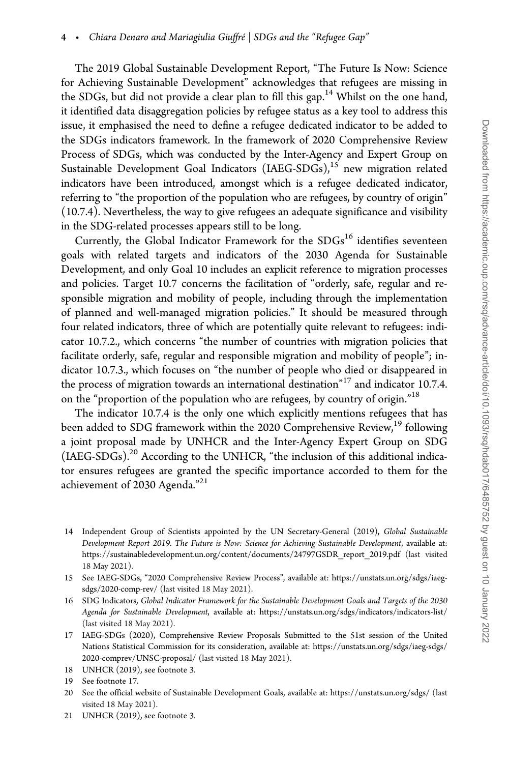The 2019 Global Sustainable Development Report, "The Future Is Now: Science for Achieving Sustainable Development" acknowledges that refugees are missing in the SDGs, but did not provide a clear plan to fill this gap.<sup>14</sup> Whilst on the one hand, it identified data disaggregation policies by refugee status as a key tool to address this issue, it emphasised the need to define a refugee dedicated indicator to be added to the SDGs indicators framework. In the framework of 2020 Comprehensive Review Process of SDGs, which was conducted by the Inter-Agency and Expert Group on Sustainable Development Goal Indicators  $(LAEG-SDGs)$ ,<sup>15</sup> new migration related indicators have been introduced, amongst which is a refugee dedicated indicator, referring to "the proportion of the population who are refugees, by country of origin" (10.7.4). Nevertheless, the way to give refugees an adequate significance and visibility in the SDG-related processes appears still to be long.

Currently, the Global Indicator Framework for the SDGs<sup>16</sup> identifies seventeen goals with related targets and indicators of the 2030 Agenda for Sustainable Development, and only Goal 10 includes an explicit reference to migration processes and policies. Target 10.7 concerns the facilitation of "orderly, safe, regular and responsible migration and mobility of people, including through the implementation of planned and well-managed migration policies." It should be measured through four related indicators, three of which are potentially quite relevant to refugees: indicator 10.7.2., which concerns "the number of countries with migration policies that facilitate orderly, safe, regular and responsible migration and mobility of people"; indicator 10.7.3., which focuses on "the number of people who died or disappeared in the process of migration towards an international destination<sup>"17</sup> and indicator 10.7.4. on the "proportion of the population who are refugees, by country of origin."<sup>18</sup>

The indicator 10.7.4 is the only one which explicitly mentions refugees that has been added to SDG framework within the 2020 Comprehensive Review,<sup>19</sup> following a joint proposal made by UNHCR and the Inter-Agency Expert Group on SDG (IAEG-SDGs).<sup>20</sup> According to the UNHCR, "the inclusion of this additional indicator ensures refugees are granted the specific importance accorded to them for the achievement of 2030 Agenda."<sup>21</sup>

- 14 Independent Group of Scientists appointed by the UN Secretary-General (2019), Global Sustainable Development Report 2019. The Future is Now: Science for Achieving Sustainable Development, available at: [https://sustainabledevelopment.un.org/content/documents/24797GSDR\\_report\\_2019.pdf](https://sustainabledevelopment.un.org/content/documents/24797GSDR_report_2019.pdf) (last visited 18 May 2021).
- 15 See IAEG-SDGs, "2020 Comprehensive Review Process", available at: [https://unstats.un.org/sdgs/iaeg](https://unstats.un.org/sdgs/iaeg-sdgs/2020-comp-rev/)[sdgs/2020-comp-rev/](https://unstats.un.org/sdgs/iaeg-sdgs/2020-comp-rev/) (last visited 18 May 2021).
- 16 SDG Indicators, Global Indicator Framework for the Sustainable Development Goals and Targets of the 2030 Agenda for Sustainable Development, available at:<https://unstats.un.org/sdgs/indicators/indicators-list/> (last visited 18 May 2021).
- 17 IAEG-SDGs (2020), Comprehensive Review Proposals Submitted to the 51st session of the United Nations Statistical Commission for its consideration, available at: [https://unstats.un.org/sdgs/iaeg-sdgs/](https://unstats.un.org/sdgs/iaeg-sdgs/2020-comprev/UNSC-proposal/) [2020-comprev/UNSC-proposal/](https://unstats.un.org/sdgs/iaeg-sdgs/2020-comprev/UNSC-proposal/) (last visited 18 May 2021).
- 18 UNHCR (2019), see footnote 3.
- 19 See footnote 17.
- 20 See the official website of Sustainable Development Goals, available at:<https://unstats.un.org/sdgs/> (last visited 18 May 2021).
- 21 UNHCR (2019), see footnote 3.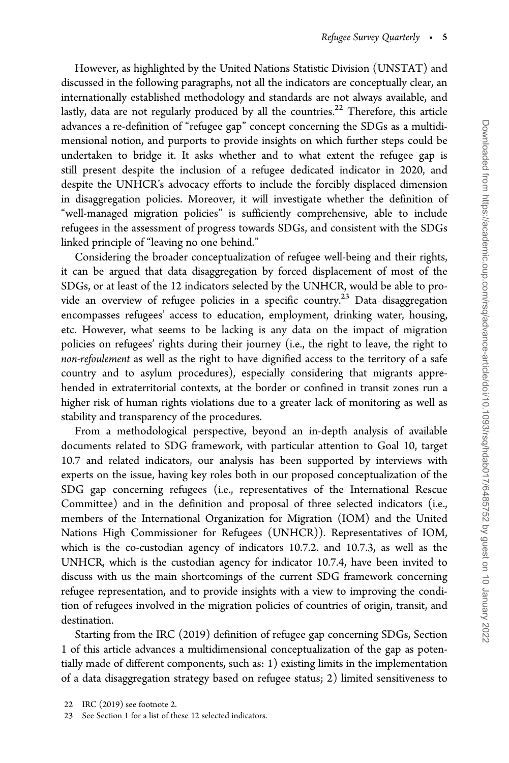However, as highlighted by the United Nations Statistic Division (UNSTAT) and discussed in the following paragraphs, not all the indicators are conceptually clear, an internationally established methodology and standards are not always available, and lastly, data are not regularly produced by all the countries.<sup>22</sup> Therefore, this article advances a re-definition of "refugee gap" concept concerning the SDGs as a multidimensional notion, and purports to provide insights on which further steps could be undertaken to bridge it. It asks whether and to what extent the refugee gap is still present despite the inclusion of a refugee dedicated indicator in 2020, and despite the UNHCR's advocacy efforts to include the forcibly displaced dimension in disaggregation policies. Moreover, it will investigate whether the definition of "well-managed migration policies" is sufficiently comprehensive, able to include refugees in the assessment of progress towards SDGs, and consistent with the SDGs linked principle of "leaving no one behind."

Considering the broader conceptualization of refugee well-being and their rights, it can be argued that data disaggregation by forced displacement of most of the SDGs, or at least of the 12 indicators selected by the UNHCR, would be able to provide an overview of refugee policies in a specific country.<sup>23</sup> Data disaggregation encompasses refugees' access to education, employment, drinking water, housing, etc. However, what seems to be lacking is any data on the impact of migration policies on refugees' rights during their journey (i.e., the right to leave, the right to non-refoulement as well as the right to have dignified access to the territory of a safe country and to asylum procedures), especially considering that migrants apprehended in extraterritorial contexts, at the border or confined in transit zones run a higher risk of human rights violations due to a greater lack of monitoring as well as stability and transparency of the procedures.

From a methodological perspective, beyond an in-depth analysis of available documents related to SDG framework, with particular attention to Goal 10, target 10.7 and related indicators, our analysis has been supported by interviews with experts on the issue, having key roles both in our proposed conceptualization of the SDG gap concerning refugees (i.e., representatives of the International Rescue Committee) and in the definition and proposal of three selected indicators (i.e., members of the International Organization for Migration (IOM) and the United Nations High Commissioner for Refugees (UNHCR)). Representatives of IOM, which is the co-custodian agency of indicators 10.7.2. and 10.7.3, as well as the UNHCR, which is the custodian agency for indicator 10.7.4, have been invited to discuss with us the main shortcomings of the current SDG framework concerning refugee representation, and to provide insights with a view to improving the condition of refugees involved in the migration policies of countries of origin, transit, and destination.

Starting from the IRC (2019) definition of refugee gap concerning SDGs, Section 1 of this article advances a multidimensional conceptualization of the gap as potentially made of different components, such as: 1) existing limits in the implementation of a data disaggregation strategy based on refugee status; 2) limited sensitiveness to

23 See Section 1 for a list of these 12 selected indicators.

<sup>22</sup> IRC (2019) see footnote 2.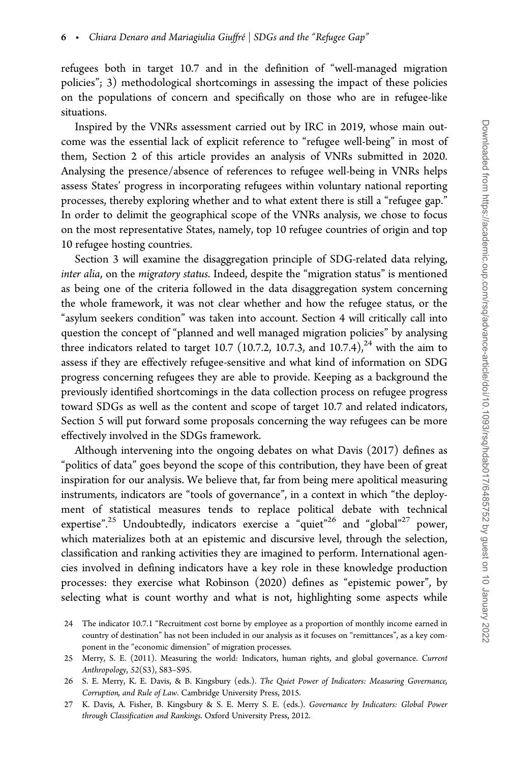refugees both in target 10.7 and in the definition of "well-managed migration policies"; 3) methodological shortcomings in assessing the impact of these policies on the populations of concern and specifically on those who are in refugee-like situations.

Inspired by the VNRs assessment carried out by IRC in 2019, whose main outcome was the essential lack of explicit reference to "refugee well-being" in most of them, Section 2 of this article provides an analysis of VNRs submitted in 2020. Analysing the presence/absence of references to refugee well-being in VNRs helps assess States' progress in incorporating refugees within voluntary national reporting processes, thereby exploring whether and to what extent there is still a "refugee gap." In order to delimit the geographical scope of the VNRs analysis, we chose to focus on the most representative States, namely, top 10 refugee countries of origin and top 10 refugee hosting countries.

Section 3 will examine the disaggregation principle of SDG-related data relying, inter alia, on the migratory status. Indeed, despite the "migration status" is mentioned as being one of the criteria followed in the data disaggregation system concerning the whole framework, it was not clear whether and how the refugee status, or the "asylum seekers condition" was taken into account. Section 4 will critically call into question the concept of "planned and well managed migration policies" by analysing three indicators related to target 10.7 (10.7.2, 10.7.3, and 10.7.4),<sup>24</sup> with the aim to assess if they are effectively refugee-sensitive and what kind of information on SDG progress concerning refugees they are able to provide. Keeping as a background the previously identified shortcomings in the data collection process on refugee progress toward SDGs as well as the content and scope of target 10.7 and related indicators, Section 5 will put forward some proposals concerning the way refugees can be more effectively involved in the SDGs framework.

Although intervening into the ongoing debates on what Davis (2017) defines as "politics of data" goes beyond the scope of this contribution, they have been of great inspiration for our analysis. We believe that, far from being mere apolitical measuring instruments, indicators are "tools of governance", in a context in which "the deployment of statistical measures tends to replace political debate with technical expertise".<sup>25</sup> Undoubtedly, indicators exercise a "quiet"<sup>26</sup> and "global"<sup>27</sup> power, which materializes both at an epistemic and discursive level, through the selection, classification and ranking activities they are imagined to perform. International agencies involved in defining indicators have a key role in these knowledge production processes: they exercise what Robinson (2020) defines as "epistemic power", by selecting what is count worthy and what is not, highlighting some aspects while

<sup>24</sup> The indicator 10.7.1 "Recruitment cost borne by employee as a proportion of monthly income earned in country of destination" has not been included in our analysis as it focuses on "remittances", as a key component in the "economic dimension" of migration processes.

<sup>25</sup> Merry, S. E. (2011). Measuring the world: Indicators, human rights, and global governance. Current Anthropology, 52(S3), S83–S95.

<sup>26</sup> S. E. Merry, K. E. Davis, & B. Kingsbury (eds.). The Quiet Power of Indicators: Measuring Governance, Corruption, and Rule of Law. Cambridge University Press, 2015.

<sup>27</sup> K. Davis, A. Fisher, B. Kingsbury & S. E. Merry S. E. (eds.). Governance by Indicators: Global Power through Classification and Rankings. Oxford University Press, 2012.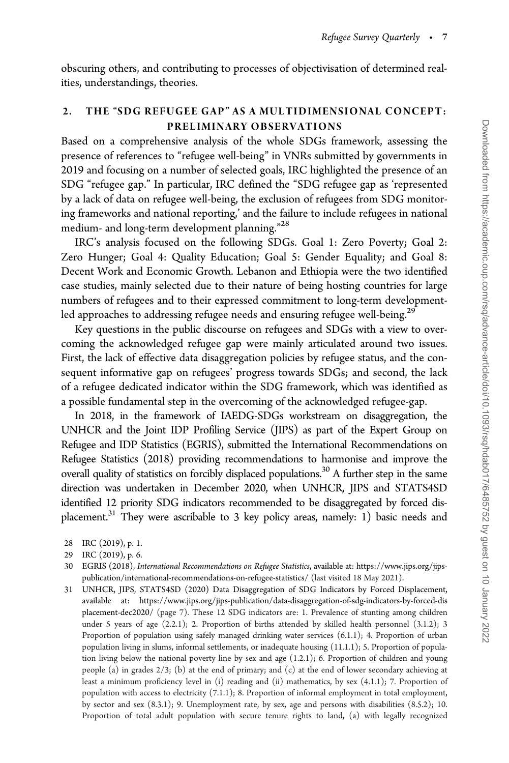obscuring others, and contributing to processes of objectivisation of determined realities, understandings, theories.

#### 2. THE "SDG REFUGEE GAP" AS A MULTIDIMENSIONAL CONCEPT: PRELIMINARY OBSERVATIONS

Based on a comprehensive analysis of the whole SDGs framework, assessing the presence of references to "refugee well-being" in VNRs submitted by governments in 2019 and focusing on a number of selected goals, IRC highlighted the presence of an SDG "refugee gap." In particular, IRC defined the "SDG refugee gap as 'represented by a lack of data on refugee well-being, the exclusion of refugees from SDG monitoring frameworks and national reporting,' and the failure to include refugees in national medium- and long-term development planning."<sup>28</sup>

IRC's analysis focused on the following SDGs. Goal 1: Zero Poverty; Goal 2: Zero Hunger; Goal 4: Quality Education; Goal 5: Gender Equality; and Goal 8: Decent Work and Economic Growth. Lebanon and Ethiopia were the two identified case studies, mainly selected due to their nature of being hosting countries for large numbers of refugees and to their expressed commitment to long-term developmentled approaches to addressing refugee needs and ensuring refugee well-being.<sup>29</sup>

Key questions in the public discourse on refugees and SDGs with a view to overcoming the acknowledged refugee gap were mainly articulated around two issues. First, the lack of effective data disaggregation policies by refugee status, and the consequent informative gap on refugees' progress towards SDGs; and second, the lack of a refugee dedicated indicator within the SDG framework, which was identified as a possible fundamental step in the overcoming of the acknowledged refugee-gap.

In 2018, in the framework of IAEDG-SDGs workstream on disaggregation, the UNHCR and the Joint IDP Profiling Service (JIPS) as part of the Expert Group on Refugee and IDP Statistics (EGRIS), submitted the International Recommendations on Refugee Statistics (2018) providing recommendations to harmonise and improve the overall quality of statistics on forcibly displaced populations.<sup>30</sup> A further step in the same direction was undertaken in December 2020, when UNHCR, JIPS and STATS4SD identified 12 priority SDG indicators recommended to be disaggregated by forced displacement.<sup>31</sup> They were ascribable to 3 key policy areas, namely: 1) basic needs and

- 28 IRC (2019), p. 1.
- 29 IRC (2019), p. 6.
- 30 EGRIS (2018), International Recommendations on Refugee Statistics, available at: [https://www.jips.org/jips](https://www.jips.org/jips-publication/international-recommendations-on-refugee-statistics/)[publication/international-recommendations-on-refugee-statistics/](https://www.jips.org/jips-publication/international-recommendations-on-refugee-statistics/) (last visited 18 May 2021).
- 31 UNHCR, JIPS, STATS4SD (2020) Data Disaggregation of SDG Indicators by Forced Displacement, available at: [https://www.jips.org/jips-publication/data-disaggregation-of-sdg-indicators-by-forced-dis](https://www.jips.org/jips-publication/data-disaggregation-of-sdg-indicators-by-forced-displacement-dec2020/) [placement-dec2020/](https://www.jips.org/jips-publication/data-disaggregation-of-sdg-indicators-by-forced-displacement-dec2020/) (page 7). These 12 SDG indicators are: 1. Prevalence of stunting among children under 5 years of age (2.2.1); 2. Proportion of births attended by skilled health personnel (3.1.2); 3 Proportion of population using safely managed drinking water services (6.1.1); 4. Proportion of urban population living in slums, informal settlements, or inadequate housing (11.1.1); 5. Proportion of population living below the national poverty line by sex and age (1.2.1); 6. Proportion of children and young people (a) in grades  $2/3$ ; (b) at the end of primary; and (c) at the end of lower secondary achieving at least a minimum proficiency level in (i) reading and (ii) mathematics, by sex (4.1.1); 7. Proportion of population with access to electricity (7.1.1); 8. Proportion of informal employment in total employment, by sector and sex (8.3.1); 9. Unemployment rate, by sex, age and persons with disabilities (8.5.2); 10. Proportion of total adult population with secure tenure rights to land, (a) with legally recognized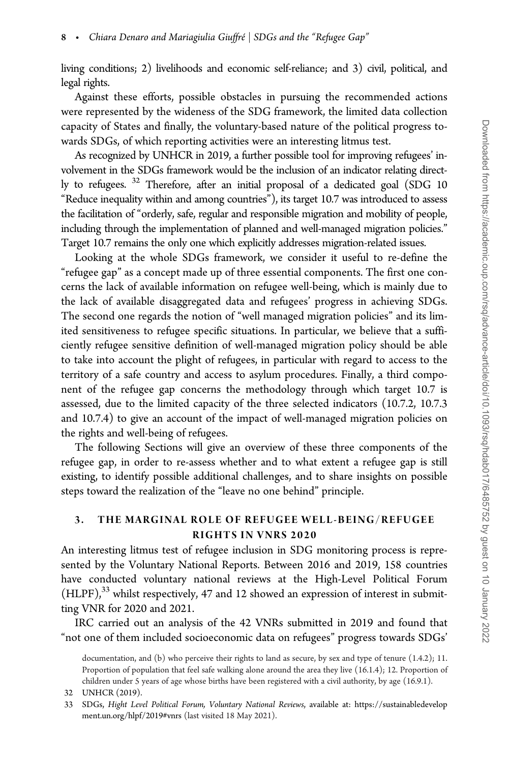living conditions; 2) livelihoods and economic self-reliance; and 3) civil, political, and legal rights.

Against these efforts, possible obstacles in pursuing the recommended actions were represented by the wideness of the SDG framework, the limited data collection capacity of States and finally, the voluntary-based nature of the political progress towards SDGs, of which reporting activities were an interesting litmus test.

As recognized by UNHCR in 2019, a further possible tool for improving refugees' involvement in the SDGs framework would be the inclusion of an indicator relating directly to refugees. <sup>32</sup> Therefore, after an initial proposal of a dedicated goal (SDG 10 "Reduce inequality within and among countries"), its target 10.7 was introduced to assess the facilitation of "orderly, safe, regular and responsible migration and mobility of people, including through the implementation of planned and well-managed migration policies." Target 10.7 remains the only one which explicitly addresses migration-related issues.

Looking at the whole SDGs framework, we consider it useful to re-define the "refugee gap" as a concept made up of three essential components. The first one concerns the lack of available information on refugee well-being, which is mainly due to the lack of available disaggregated data and refugees' progress in achieving SDGs. The second one regards the notion of "well managed migration policies" and its limited sensitiveness to refugee specific situations. In particular, we believe that a sufficiently refugee sensitive definition of well-managed migration policy should be able to take into account the plight of refugees, in particular with regard to access to the territory of a safe country and access to asylum procedures. Finally, a third component of the refugee gap concerns the methodology through which target 10.7 is assessed, due to the limited capacity of the three selected indicators (10.7.2, 10.7.3 and 10.7.4) to give an account of the impact of well-managed migration policies on the rights and well-being of refugees.

The following Sections will give an overview of these three components of the refugee gap, in order to re-assess whether and to what extent a refugee gap is still existing, to identify possible additional challenges, and to share insights on possible steps toward the realization of the "leave no one behind" principle.

#### 3. THE MARGINAL ROLE OF REFUGEE WELL-BEING/REFUGEE RIGHTS IN VNRS 2020

An interesting litmus test of refugee inclusion in SDG monitoring process is represented by the Voluntary National Reports. Between 2016 and 2019, 158 countries have conducted voluntary national reviews at the High-Level Political Forum  $(HLPF)$ ,<sup>33</sup> whilst respectively, 47 and 12 showed an expression of interest in submitting VNR for 2020 and 2021.

IRC carried out an analysis of the 42 VNRs submitted in 2019 and found that "not one of them included socioeconomic data on refugees" progress towards SDGs'

documentation, and (b) who perceive their rights to land as secure, by sex and type of tenure (1.4.2); 11. Proportion of population that feel safe walking alone around the area they live (16.1.4); 12. Proportion of children under 5 years of age whose births have been registered with a civil authority, by age (16.9.1).

<sup>32</sup> UNHCR (2019).

<sup>33</sup> SDGs, Hight Level Political Forum, Voluntary National Reviews, available at: [https://sustainabledevelop](https://sustainabledevelopment.un.org/hlpf/2019#vnrs) [ment.un.org/hlpf/2019#vnrs](https://sustainabledevelopment.un.org/hlpf/2019#vnrs) (last visited 18 May 2021).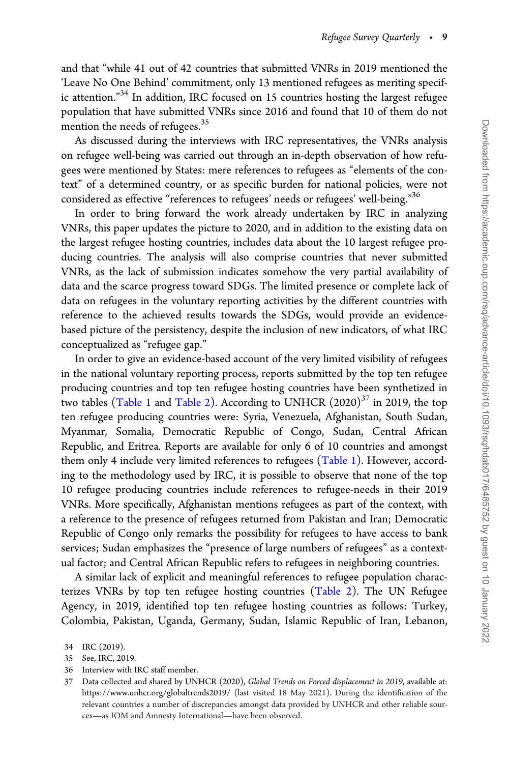and that "while 41 out of 42 countries that submitted VNRs in 2019 mentioned the 'Leave No One Behind' commitment, only 13 mentioned refugees as meriting specific attention."<sup>34</sup> In addition, IRC focused on 15 countries hosting the largest refugee population that have submitted VNRs since 2016 and found that 10 of them do not mention the needs of refugees.<sup>35</sup>

As discussed during the interviews with IRC representatives, the VNRs analysis on refugee well-being was carried out through an in-depth observation of how refugees were mentioned by States: mere references to refugees as "elements of the context" of a determined country, or as specific burden for national policies, were not considered as effective "references to refugees' needs or refugees' well-being."<sup>36</sup>

In order to bring forward the work already undertaken by IRC in analyzing VNRs, this paper updates the picture to 2020, and in addition to the existing data on the largest refugee hosting countries, includes data about the 10 largest refugee producing countries. The analysis will also comprise countries that never submitted VNRs, as the lack of submission indicates somehow the very partial availability of data and the scarce progress toward SDGs. The limited presence or complete lack of data on refugees in the voluntary reporting activities by the different countries with reference to the achieved results towards the SDGs, would provide an evidencebased picture of the persistency, despite the inclusion of new indicators, of what IRC conceptualized as "refugee gap."

In order to give an evidence-based account of the very limited visibility of refugees in the national voluntary reporting process, reports submitted by the top ten refugee producing countries and top ten refugee hosting countries have been synthetized in two tables ([Table 1](#page-9-0) and [Table 2\)](#page-10-0). According to UNHCR  $(2020)^{37}$  in 2019, the top ten refugee producing countries were: Syria, Venezuela, Afghanistan, South Sudan, Myanmar, Somalia, Democratic Republic of Congo, Sudan, Central African Republic, and Eritrea. Reports are available for only 6 of 10 countries and amongst them only 4 include very limited references to refugees [\(Table 1\)](#page-9-0). However, according to the methodology used by IRC, it is possible to observe that none of the top 10 refugee producing countries include references to refugee-needs in their 2019 VNRs. More specifically, Afghanistan mentions refugees as part of the context, with a reference to the presence of refugees returned from Pakistan and Iran; Democratic Republic of Congo only remarks the possibility for refugees to have access to bank services; Sudan emphasizes the "presence of large numbers of refugees" as a contextual factor; and Central African Republic refers to refugees in neighboring countries.

A similar lack of explicit and meaningful references to refugee population characterizes VNRs by top ten refugee hosting countries ([Table 2\)](#page-10-0). The UN Refugee Agency, in 2019, identified top ten refugee hosting countries as follows: Turkey, Colombia, Pakistan, Uganda, Germany, Sudan, Islamic Republic of Iran, Lebanon,

<sup>34</sup> IRC (2019).

<sup>35</sup> See, IRC, 2019.

<sup>36</sup> Interview with IRC staff member.

<sup>37</sup> Data collected and shared by UNHCR (2020), Global Trends on Forced displacement in 2019, available at: <https://www.unhcr.org/globaltrends2019/> (last visited 18 May 2021). During the identification of the relevant countries a number of discrepancies amongst data provided by UNHCR and other reliable sources—as IOM and Amnesty International—have been observed.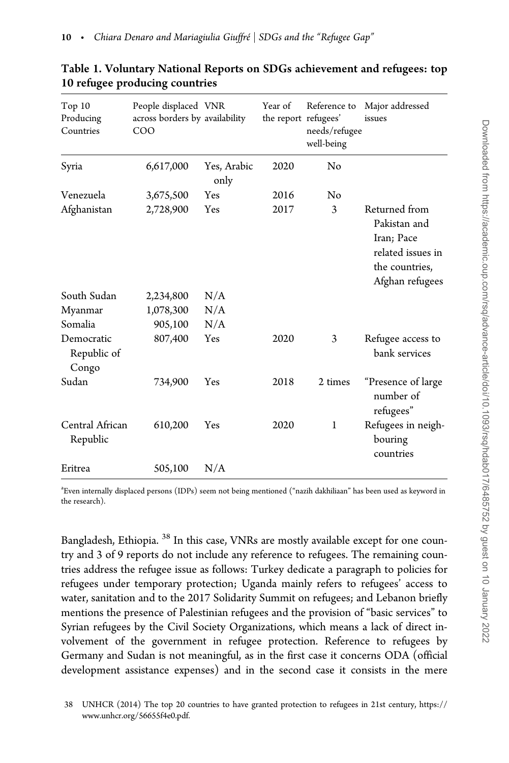| Top 10<br>Producing<br>Countries   | People displaced VNR<br>across borders by availability<br>COO |                     | Year of<br>the report refugees' | Reference to<br>needs/refugee<br>well-being | Major addressed<br>issues                                                                             |
|------------------------------------|---------------------------------------------------------------|---------------------|---------------------------------|---------------------------------------------|-------------------------------------------------------------------------------------------------------|
| Syria                              | 6,617,000                                                     | Yes, Arabic<br>only | 2020                            | No                                          |                                                                                                       |
| Venezuela                          | 3,675,500                                                     | Yes                 | 2016                            | No                                          |                                                                                                       |
| Afghanistan                        | 2,728,900                                                     | Yes                 | 2017                            | 3                                           | Returned from<br>Pakistan and<br>Iran; Pace<br>related issues in<br>the countries,<br>Afghan refugees |
| South Sudan                        | 2,234,800                                                     | N/A                 |                                 |                                             |                                                                                                       |
| Myanmar                            | 1,078,300                                                     | N/A                 |                                 |                                             |                                                                                                       |
| Somalia                            | 905,100                                                       | N/A                 |                                 |                                             |                                                                                                       |
| Democratic<br>Republic of<br>Congo | 807,400                                                       | Yes                 | 2020                            | 3                                           | Refugee access to<br>bank services                                                                    |
| Sudan                              | 734,900                                                       | Yes                 | 2018                            | 2 times                                     | "Presence of large<br>number of<br>refugees"                                                          |
| Central African<br>Republic        | 610,200                                                       | Yes                 | 2020                            | $\mathbf{1}$                                | Refugees in neigh-<br>bouring<br>countries                                                            |
| Eritrea                            | 505,100                                                       | N/A                 |                                 |                                             |                                                                                                       |

### <span id="page-9-0"></span>Table 1. Voluntary National Reports on SDGs achievement and refugees: top 10 refugee producing countries

a Even internally displaced persons (IDPs) seem not being mentioned ("nazih dakhiliaan" has been used as keyword in the research).

Bangladesh, Ethiopia.<sup>38</sup> In this case, VNRs are mostly available except for one country and 3 of 9 reports do not include any reference to refugees. The remaining countries address the refugee issue as follows: Turkey dedicate a paragraph to policies for refugees under temporary protection; Uganda mainly refers to refugees' access to water, sanitation and to the 2017 Solidarity Summit on refugees; and Lebanon briefly mentions the presence of Palestinian refugees and the provision of "basic services" to Syrian refugees by the Civil Society Organizations, which means a lack of direct involvement of the government in refugee protection. Reference to refugees by Germany and Sudan is not meaningful, as in the first case it concerns ODA (official development assistance expenses) and in the second case it consists in the mere

<sup>38</sup> UNHCR (2014) The top 20 countries to have granted protection to refugees in 21st century, [https://](https://www.unhcr.org/56655f4e0.pdf) [www.unhcr.org/56655f4e0.pdf.](https://www.unhcr.org/56655f4e0.pdf)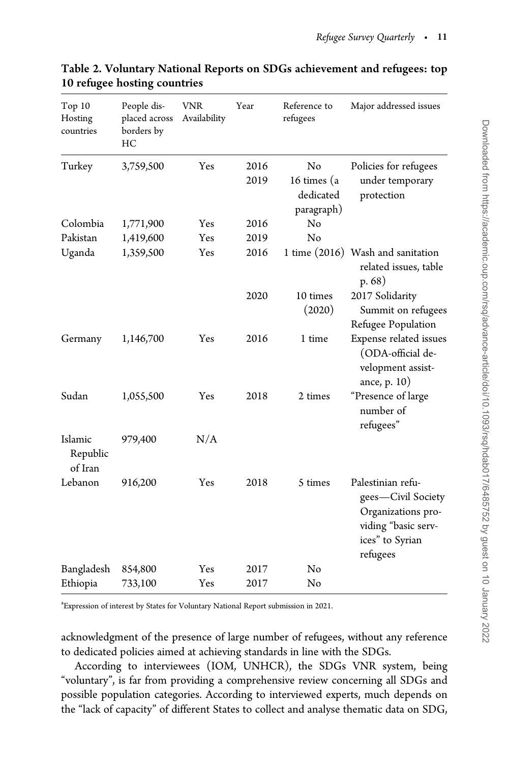| Top 10<br>Hosting<br>countries | People dis-<br>placed across<br>borders by<br>HC | VNR<br>Availability | Year         | Reference to<br>refugees                     | Major addressed issues                                                                                              |
|--------------------------------|--------------------------------------------------|---------------------|--------------|----------------------------------------------|---------------------------------------------------------------------------------------------------------------------|
| Turkey                         | 3,759,500                                        | Yes                 | 2016<br>2019 | No<br>16 times (a<br>dedicated<br>paragraph) | Policies for refugees<br>under temporary<br>protection                                                              |
| Colombia                       | 1,771,900                                        | Yes                 | 2016         | No                                           |                                                                                                                     |
| Pakistan                       | 1,419,600                                        | Yes                 | 2019         | No                                           |                                                                                                                     |
| Uganda                         | 1,359,500                                        | Yes                 | 2016         |                                              | 1 time (2016) Wash and sanitation<br>related issues, table<br>p.68)                                                 |
|                                |                                                  |                     | 2020         | 10 times<br>(2020)                           | 2017 Solidarity<br>Summit on refugees<br>Refugee Population                                                         |
| Germany                        | 1,146,700                                        | Yes                 | 2016         | 1 time                                       | Expense related issues<br>(ODA-official de-<br>velopment assist-<br>ance, p. 10)                                    |
| Sudan                          | 1,055,500                                        | Yes                 | 2018         | 2 times                                      | "Presence of large<br>number of<br>refugees"                                                                        |
| Islamic<br>Republic<br>of Iran | 979,400                                          | N/A                 |              |                                              |                                                                                                                     |
| Lebanon                        | 916,200                                          | Yes                 | 2018         | 5 times                                      | Palestinian refu-<br>gees-Civil Society<br>Organizations pro-<br>viding "basic serv-<br>ices" to Syrian<br>refugees |
| Bangladesh                     | 854,800                                          | Yes                 | 2017         | No                                           |                                                                                                                     |
| Ethiopia                       | 733,100                                          | Yes                 | 2017         | No                                           |                                                                                                                     |

## <span id="page-10-0"></span>Table 2. Voluntary National Reports on SDGs achievement and refugees: top 10 refugee hosting countries

a Expression of interest by States for Voluntary National Report submission in 2021.

acknowledgment of the presence of large number of refugees, without any reference to dedicated policies aimed at achieving standards in line with the SDGs.

According to interviewees (IOM, UNHCR), the SDGs VNR system, being "voluntary", is far from providing a comprehensive review concerning all SDGs and possible population categories. According to interviewed experts, much depends on the "lack of capacity" of different States to collect and analyse thematic data on SDG,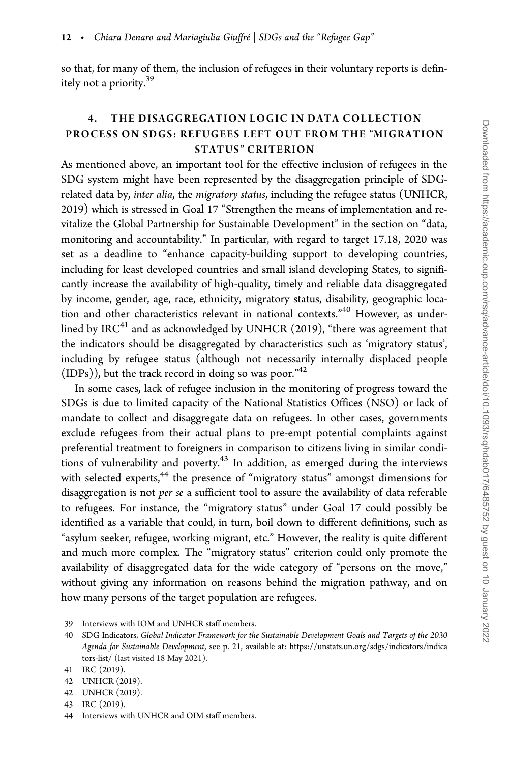so that, for many of them, the inclusion of refugees in their voluntary reports is definitely not a priority.39

## 4. THE DISAGGREGATION LOGIC IN DATA COLLECTION PROCESS ON SDGS: REFUGEES LEFT OUT FROM THE "MIGRATION STATUS" CRITERION

As mentioned above, an important tool for the effective inclusion of refugees in the SDG system might have been represented by the disaggregation principle of SDGrelated data by, inter alia, the migratory status, including the refugee status (UNHCR, 2019) which is stressed in Goal 17 "Strengthen the means of implementation and revitalize the Global Partnership for Sustainable Development" in the section on "data, monitoring and accountability." In particular, with regard to target 17.18, 2020 was set as a deadline to "enhance capacity-building support to developing countries, including for least developed countries and small island developing States, to significantly increase the availability of high-quality, timely and reliable data disaggregated by income, gender, age, race, ethnicity, migratory status, disability, geographic location and other characteristics relevant in national contexts."<sup>40</sup> However, as underlined by IRC $41$  and as acknowledged by UNHCR (2019), "there was agreement that the indicators should be disaggregated by characteristics such as 'migratory status', including by refugee status (although not necessarily internally displaced people (IDPs)), but the track record in doing so was poor."42

In some cases, lack of refugee inclusion in the monitoring of progress toward the SDGs is due to limited capacity of the National Statistics Offices (NSO) or lack of mandate to collect and disaggregate data on refugees. In other cases, governments exclude refugees from their actual plans to pre-empt potential complaints against preferential treatment to foreigners in comparison to citizens living in similar conditions of vulnerability and poverty.<sup>43</sup> In addition, as emerged during the interviews with selected experts, $44$  the presence of "migratory status" amongst dimensions for disaggregation is not per se a sufficient tool to assure the availability of data referable to refugees. For instance, the "migratory status" under Goal 17 could possibly be identified as a variable that could, in turn, boil down to different definitions, such as "asylum seeker, refugee, working migrant, etc." However, the reality is quite different and much more complex. The "migratory status" criterion could only promote the availability of disaggregated data for the wide category of "persons on the move," without giving any information on reasons behind the migration pathway, and on how many persons of the target population are refugees.

43 IRC (2019).

<sup>39</sup> Interviews with IOM and UNHCR staff members.

<sup>40</sup> SDG Indicators, Global Indicator Framework for the Sustainable Development Goals and Targets of the 2030 Agenda for Sustainable Development, see p. 21, available at: [https://unstats.un.org/sdgs/indicators/indica](https://unstats.un.org/sdgs/indicators/indicators-list/) [tors-list/](https://unstats.un.org/sdgs/indicators/indicators-list/) (last visited 18 May 2021).

<sup>41</sup> IRC (2019).

<sup>42</sup> UNHCR (2019).

<sup>42</sup> UNHCR (2019).

<sup>44</sup> Interviews with UNHCR and OIM staff members.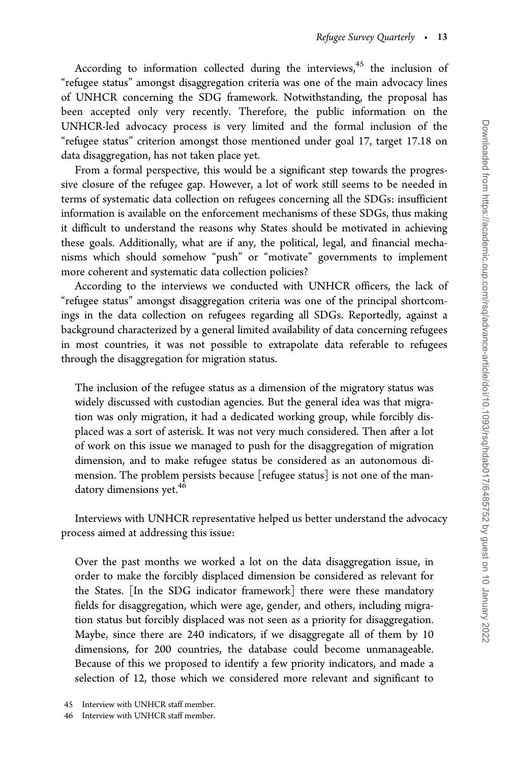According to information collected during the interviews, $45$  the inclusion of "refugee status" amongst disaggregation criteria was one of the main advocacy lines of UNHCR concerning the SDG framework. Notwithstanding, the proposal has been accepted only very recently. Therefore, the public information on the UNHCR-led advocacy process is very limited and the formal inclusion of the "refugee status" criterion amongst those mentioned under goal 17, target 17.18 on data disaggregation, has not taken place yet.

From a formal perspective, this would be a significant step towards the progressive closure of the refugee gap. However, a lot of work still seems to be needed in terms of systematic data collection on refugees concerning all the SDGs: insufficient information is available on the enforcement mechanisms of these SDGs, thus making it difficult to understand the reasons why States should be motivated in achieving these goals. Additionally, what are if any, the political, legal, and financial mechanisms which should somehow "push" or "motivate" governments to implement more coherent and systematic data collection policies?

According to the interviews we conducted with UNHCR officers, the lack of "refugee status" amongst disaggregation criteria was one of the principal shortcomings in the data collection on refugees regarding all SDGs. Reportedly, against a background characterized by a general limited availability of data concerning refugees in most countries, it was not possible to extrapolate data referable to refugees through the disaggregation for migration status.

The inclusion of the refugee status as a dimension of the migratory status was widely discussed with custodian agencies. But the general idea was that migration was only migration, it had a dedicated working group, while forcibly displaced was a sort of asterisk. It was not very much considered. Then after a lot of work on this issue we managed to push for the disaggregation of migration dimension, and to make refugee status be considered as an autonomous dimension. The problem persists because [refugee status] is not one of the mandatory dimensions yet.<sup>46</sup>

Interviews with UNHCR representative helped us better understand the advocacy process aimed at addressing this issue:

Over the past months we worked a lot on the data disaggregation issue, in order to make the forcibly displaced dimension be considered as relevant for the States. [In the SDG indicator framework] there were these mandatory fields for disaggregation, which were age, gender, and others, including migration status but forcibly displaced was not seen as a priority for disaggregation. Maybe, since there are 240 indicators, if we disaggregate all of them by 10 dimensions, for 200 countries, the database could become unmanageable. Because of this we proposed to identify a few priority indicators, and made a selection of 12, those which we considered more relevant and significant to

<sup>45</sup> Interview with UNHCR staff member.

<sup>46</sup> Interview with UNHCR staff member.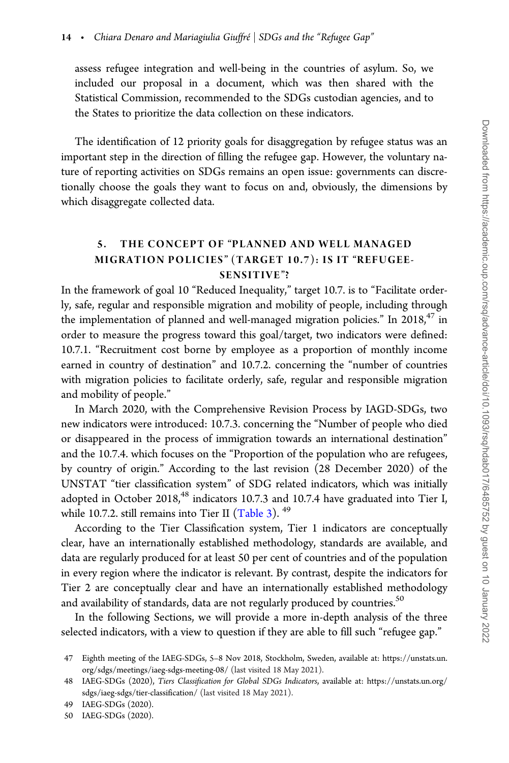assess refugee integration and well-being in the countries of asylum. So, we included our proposal in a document, which was then shared with the Statistical Commission, recommended to the SDGs custodian agencies, and to the States to prioritize the data collection on these indicators.

The identification of 12 priority goals for disaggregation by refugee status was an important step in the direction of filling the refugee gap. However, the voluntary nature of reporting activities on SDGs remains an open issue: governments can discretionally choose the goals they want to focus on and, obviously, the dimensions by which disaggregate collected data.

#### 5. THE CONCEPT OF "PLANNED AND WELL MANAGED MIGRATION POLICIES" (TARGET 10.7): IS IT "REFUGEE-SENSITIVE"?

In the framework of goal 10 "Reduced Inequality," target 10.7. is to "Facilitate orderly, safe, regular and responsible migration and mobility of people, including through the implementation of planned and well-managed migration policies." In 2018, $47$  in order to measure the progress toward this goal/target, two indicators were defined: 10.7.1. "Recruitment cost borne by employee as a proportion of monthly income earned in country of destination" and 10.7.2. concerning the "number of countries with migration policies to facilitate orderly, safe, regular and responsible migration and mobility of people."

In March 2020, with the Comprehensive Revision Process by IAGD-SDGs, two new indicators were introduced: 10.7.3. concerning the "Number of people who died or disappeared in the process of immigration towards an international destination" and the 10.7.4. which focuses on the "Proportion of the population who are refugees, by country of origin." According to the last revision (28 December 2020) of the UNSTAT "tier classification system" of SDG related indicators, which was initially adopted in October 2018, $48$  indicators 10.7.3 and 10.7.4 have graduated into Tier I, while 10.7.2. still remains into Tier II  $(Table 3)$ . <sup>49</sup>

According to the Tier Classification system, Tier 1 indicators are conceptually clear, have an internationally established methodology, standards are available, and data are regularly produced for at least 50 per cent of countries and of the population in every region where the indicator is relevant. By contrast, despite the indicators for Tier 2 are conceptually clear and have an internationally established methodology and availability of standards, data are not regularly produced by countries.<sup>50</sup>

In the following Sections, we will provide a more in-depth analysis of the three selected indicators, with a view to question if they are able to fill such "refugee gap."

<sup>47</sup> Eighth meeting of the IAEG-SDGs, 5–8 Nov 2018, Stockholm, Sweden, available at: [https://unstats.un.](https://unstats.un.org/sdgs/meetings/iaeg-sdgs-meeting-08/) [org/sdgs/meetings/iaeg-sdgs-meeting-08/](https://unstats.un.org/sdgs/meetings/iaeg-sdgs-meeting-08/) (last visited 18 May 2021).

<sup>48</sup> IAEG-SDGs (2020), Tiers Classification for Global SDGs Indicators, available at: [https://unstats.un.org/](https://unstats.un.org/sdgs/iaeg-sdgs/tier-classification/) [sdgs/iaeg-sdgs/tier-classification/](https://unstats.un.org/sdgs/iaeg-sdgs/tier-classification/) (last visited 18 May 2021).

<sup>49</sup> IAEG-SDGs (2020).

<sup>50</sup> IAEG-SDGs (2020).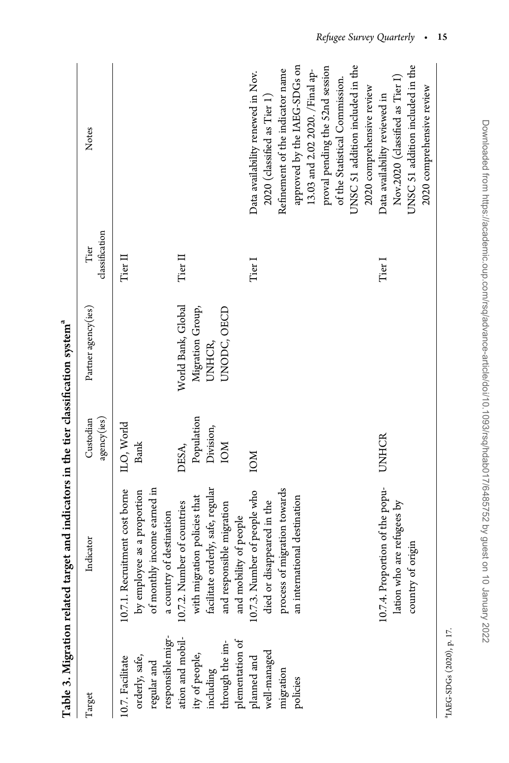<span id="page-14-0"></span>

|                                                                                            | Table 3. Migration related target and indicators in the tier classification system <sup>a</sup>                                                         |                                                |                                                                 |                        |                                                                                                                                                                                                                                                                                                               |
|--------------------------------------------------------------------------------------------|---------------------------------------------------------------------------------------------------------------------------------------------------------|------------------------------------------------|-----------------------------------------------------------------|------------------------|---------------------------------------------------------------------------------------------------------------------------------------------------------------------------------------------------------------------------------------------------------------------------------------------------------------|
| Target                                                                                     | Indicator                                                                                                                                               | agency(ies)<br>Custodian                       | Partner agency(ies)                                             | classification<br>Tier | Notes                                                                                                                                                                                                                                                                                                         |
| responsible migr-<br>ation and mobil-<br>orderly, safe,<br>10.7. Facilitate<br>regular and | of monthly income earned in<br>10.7.1. Recruitment cost borne<br>by employee as a proportion<br>a country of destination                                | ILO, World<br>Bank                             |                                                                 | Tier II                |                                                                                                                                                                                                                                                                                                               |
| plementation of<br>hrough the im-<br>ity of people,<br>including                           | facilitate orderly, safe, regular<br>with migration policies that<br>10.7.2. Number of countries<br>and responsible migration<br>and mobility of people | Population<br>Division,<br><b>NOI</b><br>DESA, | World Bank, Global<br>Migration Group,<br>UNODC, OECD<br>UNHCR, | Tier II                |                                                                                                                                                                                                                                                                                                               |
| planned and<br>well-managed<br>migration<br>policies                                       | process of migration towards<br>10.7.3. Number of people who<br>died or disappeared in the<br>an international destination                              | <b>NOI</b>                                     |                                                                 | Tier I                 | approved by the IAEG-SDGs on<br>UNSC 51 addition included in the<br>proval pending the 52nd session<br>Refinement of the indicator name<br>13.03 and 2.02 2020. /Final ap-<br>Data availability renewed in Nov.<br>of the Statistical Commission.<br>2020 comprehensive review<br>2020 (classified as Tier 1) |
|                                                                                            | 10.7.4. Proportion of the popu-<br>lation who are refugees by<br>country of origin                                                                      | UNHCR                                          |                                                                 | Tier I                 | UNSC 51 addition included in the<br>Nov.2020 (classified as Tier I)<br>2020 comprehensive review<br>Data availability reviewed in                                                                                                                                                                             |

 $\rm{^{9}L4E}$  G-SDGs (2020), p. 17. aIAEG-SDGs (2020), p. 17.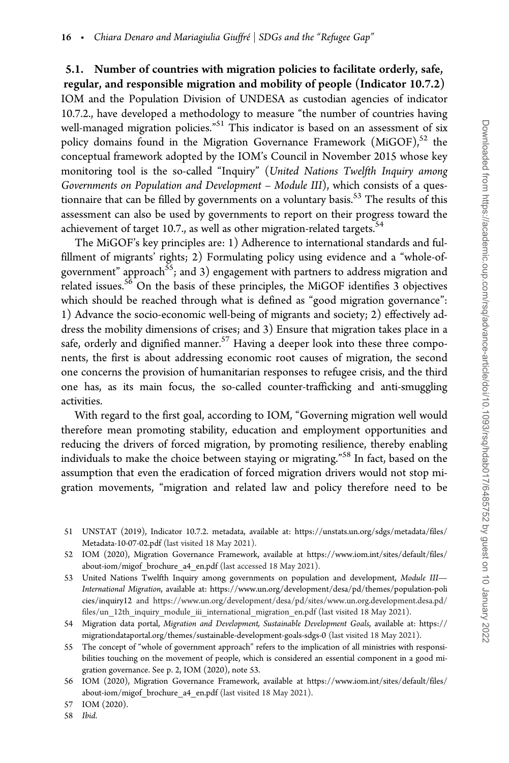5.1. Number of countries with migration policies to facilitate orderly, safe, regular, and responsible migration and mobility of people (Indicator 10.7.2) IOM and the Population Division of UNDESA as custodian agencies of indicator 10.7.2., have developed a methodology to measure "the number of countries having well-managed migration policies."<sup>51</sup> This indicator is based on an assessment of six policy domains found in the Migration Governance Framework  $(MiGOF)<sup>52</sup>$  the conceptual framework adopted by the IOM's Council in November 2015 whose key monitoring tool is the so-called "Inquiry" (United Nations Twelfth Inquiry among Governments on Population and Development – Module III), which consists of a questionnaire that can be filled by governments on a voluntary basis. $53$  The results of this assessment can also be used by governments to report on their progress toward the achievement of target 10.7., as well as other migration-related targets.<sup>54</sup>

The MiGOF's key principles are: 1) Adherence to international standards and fulfillment of migrants' rights; 2) Formulating policy using evidence and a "whole-ofgovernment" approach<sup>55</sup>; and 3) engagement with partners to address migration and related issues.<sup>56</sup> On the basis of these principles, the MiGOF identifies  $\overline{3}$  objectives which should be reached through what is defined as "good migration governance": 1) Advance the socio-economic well-being of migrants and society; 2) effectively address the mobility dimensions of crises; and 3) Ensure that migration takes place in a safe, orderly and dignified manner.<sup>57</sup> Having a deeper look into these three components, the first is about addressing economic root causes of migration, the second one concerns the provision of humanitarian responses to refugee crisis, and the third one has, as its main focus, the so-called counter-trafficking and anti-smuggling activities.

With regard to the first goal, according to IOM, "Governing migration well would therefore mean promoting stability, education and employment opportunities and reducing the drivers of forced migration, by promoting resilience, thereby enabling individuals to make the choice between staying or migrating."<sup>58</sup> In fact, based on the assumption that even the eradication of forced migration drivers would not stop migration movements, "migration and related law and policy therefore need to be

- 51 UNSTAT (2019), Indicator 10.7.2. metadata, available at: [https://unstats.un.org/sdgs/metadata/files/](https://unstats.un.org/sdgs/metadata/files/Metadata-10-07-02.pdf) [Metadata-10-07-02.pdf](https://unstats.un.org/sdgs/metadata/files/Metadata-10-07-02.pdf) (last visited 18 May 2021).
- 52 IOM (2020), Migration Governance Framework, available at [https://www.iom.int/sites/default/files/](https://www.iom.int/sites/default/files/about-iom/migof_brochure_a4_en.pdf) [about-iom/migof\\_brochure\\_a4\\_en.pdf](https://www.iom.int/sites/default/files/about-iom/migof_brochure_a4_en.pdf) (last accessed 18 May 2021).
- 53 United Nations Twelfth Inquiry among governments on population and development, Module III-International Migration, available at: [https://www.un.org/development/desa/pd/themes/population-poli](https://www.un.org/development/desa/pd/themes/population-policies/inquiry12) [cies/inquiry12](https://www.un.org/development/desa/pd/themes/population-policies/inquiry12) and [https://www.un.org/development/desa/pd/sites/www.un.org.development.desa.pd/](https://www.un.org/development/desa/pd/sites/www.un.org.development.desa.pd/files/un_12th_inquiry_module_iii_international_migration_en.pdf) [files/un\\_12th\\_inquiry\\_module\\_iii\\_international\\_migration\\_en.pdf](https://www.un.org/development/desa/pd/sites/www.un.org.development.desa.pd/files/un_12th_inquiry_module_iii_international_migration_en.pdf) (last visited 18 May 2021).
- 54 Migration data portal, Migration and Development, Sustainable Development Goals, available at: [https://](https://migrationdataportal.org/themes/sustainable-development-goals-sdgs-0) [migrationdataportal.org/themes/sustainable-development-goals-sdgs-0](https://migrationdataportal.org/themes/sustainable-development-goals-sdgs-0) (last visited 18 May 2021).
- 55 The concept of "whole of government approach" refers to the implication of all ministries with responsibilities touching on the movement of people, which is considered an essential component in a good migration governance. See p. 2, IOM (2020), note 53.

<sup>56</sup> IOM (2020), Migration Governance Framework, available at [https://www.iom.int/sites/default/files/](https://www.iom.int/sites/default/files/about-iom/migof_brochure_a4_en.pdf) [about-iom/migof\\_brochure\\_a4\\_en.pdf](https://www.iom.int/sites/default/files/about-iom/migof_brochure_a4_en.pdf) (last visited 18 May 2021).

<sup>57</sup> IOM (2020).

<sup>58</sup> Ibid.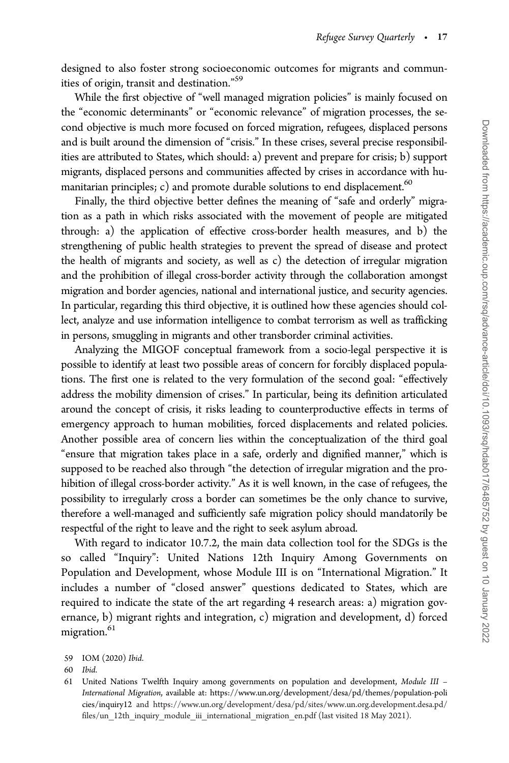designed to also foster strong socioeconomic outcomes for migrants and communities of origin, transit and destination."59

While the first objective of "well managed migration policies" is mainly focused on the "economic determinants" or "economic relevance" of migration processes, the second objective is much more focused on forced migration, refugees, displaced persons and is built around the dimension of "crisis." In these crises, several precise responsibilities are attributed to States, which should: a) prevent and prepare for crisis; b) support migrants, displaced persons and communities affected by crises in accordance with humanitarian principles; c) and promote durable solutions to end displacement.<sup>60</sup>

Finally, the third objective better defines the meaning of "safe and orderly" migration as a path in which risks associated with the movement of people are mitigated through: a) the application of effective cross-border health measures, and b) the strengthening of public health strategies to prevent the spread of disease and protect the health of migrants and society, as well as c) the detection of irregular migration and the prohibition of illegal cross-border activity through the collaboration amongst migration and border agencies, national and international justice, and security agencies. In particular, regarding this third objective, it is outlined how these agencies should collect, analyze and use information intelligence to combat terrorism as well as trafficking in persons, smuggling in migrants and other transborder criminal activities.

Analyzing the MIGOF conceptual framework from a socio-legal perspective it is possible to identify at least two possible areas of concern for forcibly displaced populations. The first one is related to the very formulation of the second goal: "effectively address the mobility dimension of crises." In particular, being its definition articulated around the concept of crisis, it risks leading to counterproductive effects in terms of emergency approach to human mobilities, forced displacements and related policies. Another possible area of concern lies within the conceptualization of the third goal "ensure that migration takes place in a safe, orderly and dignified manner," which is supposed to be reached also through "the detection of irregular migration and the prohibition of illegal cross-border activity." As it is well known, in the case of refugees, the possibility to irregularly cross a border can sometimes be the only chance to survive, therefore a well-managed and sufficiently safe migration policy should mandatorily be respectful of the right to leave and the right to seek asylum abroad.

With regard to indicator 10.7.2, the main data collection tool for the SDGs is the so called "Inquiry": United Nations 12th Inquiry Among Governments on Population and Development, whose Module III is on "International Migration." It includes a number of "closed answer" questions dedicated to States, which are required to indicate the state of the art regarding 4 research areas: a) migration governance, b) migrant rights and integration, c) migration and development, d) forced migration.<sup>61</sup>

<sup>59</sup> IOM (2020) Ibid.

<sup>60</sup> Ibid.

<sup>61</sup> United Nations Twelfth Inquiry among governments on population and development, Module III – International Migration, available at: [https://www.un.org/development/desa/pd/themes/population-poli](https://www.un.org/development/desa/pd/themes/population-policies/inquiry12) [cies/inquiry12](https://www.un.org/development/desa/pd/themes/population-policies/inquiry12) and [https://www.un.org/development/desa/pd/sites/www.un.org.development.desa.pd/](https://www.un.org/development/desa/pd/sites/www.un.org.development.desa.pd/files/un_12th_inquiry_module_iii_international_migration_en.pdf) [files/un\\_12th\\_inquiry\\_module\\_iii\\_international\\_migration\\_en.pdf](https://www.un.org/development/desa/pd/sites/www.un.org.development.desa.pd/files/un_12th_inquiry_module_iii_international_migration_en.pdf) (last visited 18 May 2021).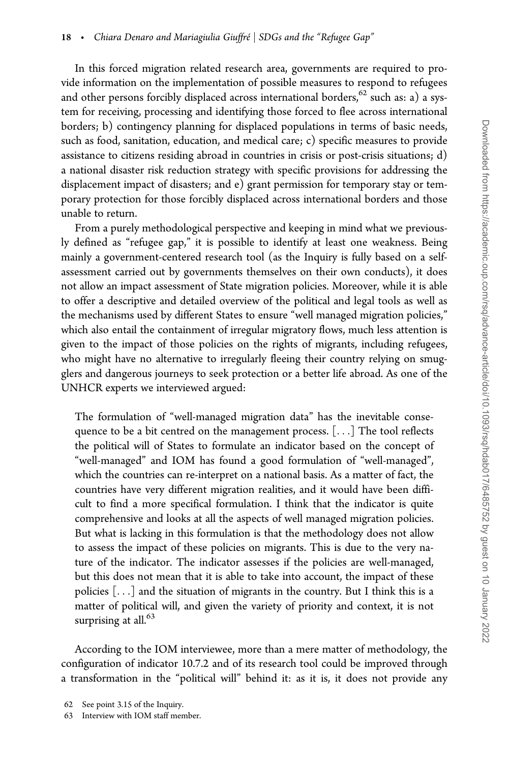In this forced migration related research area, governments are required to provide information on the implementation of possible measures to respond to refugees and other persons forcibly displaced across international borders, $62$  such as: a) a system for receiving, processing and identifying those forced to flee across international borders; b) contingency planning for displaced populations in terms of basic needs, such as food, sanitation, education, and medical care; c) specific measures to provide assistance to citizens residing abroad in countries in crisis or post-crisis situations; d) a national disaster risk reduction strategy with specific provisions for addressing the displacement impact of disasters; and e) grant permission for temporary stay or temporary protection for those forcibly displaced across international borders and those unable to return.

From a purely methodological perspective and keeping in mind what we previously defined as "refugee gap," it is possible to identify at least one weakness. Being mainly a government-centered research tool (as the Inquiry is fully based on a selfassessment carried out by governments themselves on their own conducts), it does not allow an impact assessment of State migration policies. Moreover, while it is able to offer a descriptive and detailed overview of the political and legal tools as well as the mechanisms used by different States to ensure "well managed migration policies," which also entail the containment of irregular migratory flows, much less attention is given to the impact of those policies on the rights of migrants, including refugees, who might have no alternative to irregularly fleeing their country relying on smugglers and dangerous journeys to seek protection or a better life abroad. As one of the UNHCR experts we interviewed argued:

The formulation of "well-managed migration data" has the inevitable consequence to be a bit centred on the management process. [...] The tool reflects the political will of States to formulate an indicator based on the concept of "well-managed" and IOM has found a good formulation of "well-managed", which the countries can re-interpret on a national basis. As a matter of fact, the countries have very different migration realities, and it would have been difficult to find a more specifical formulation. I think that the indicator is quite comprehensive and looks at all the aspects of well managed migration policies. But what is lacking in this formulation is that the methodology does not allow to assess the impact of these policies on migrants. This is due to the very nature of the indicator. The indicator assesses if the policies are well-managed, but this does not mean that it is able to take into account, the impact of these policies [...] and the situation of migrants in the country. But I think this is a matter of political will, and given the variety of priority and context, it is not surprising at all.<sup>63</sup>

According to the IOM interviewee, more than a mere matter of methodology, the configuration of indicator 10.7.2 and of its research tool could be improved through a transformation in the "political will" behind it: as it is, it does not provide any

<sup>62</sup> See point 3.15 of the Inquiry.

<sup>63</sup> Interview with IOM staff member.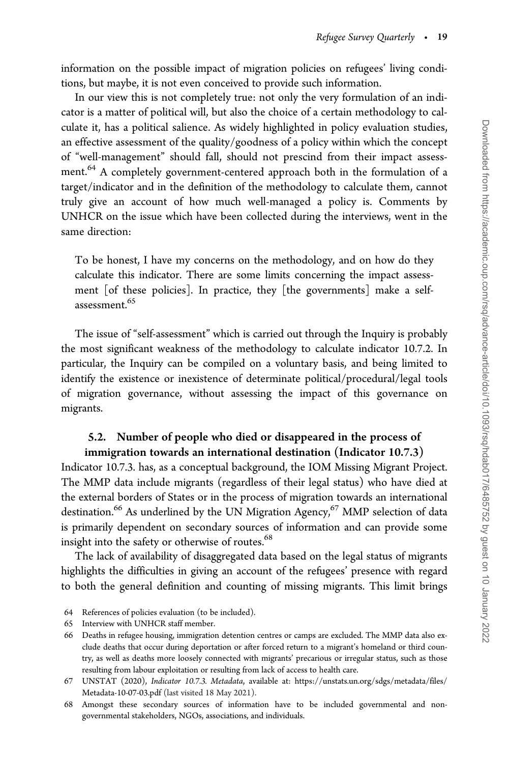information on the possible impact of migration policies on refugees' living conditions, but maybe, it is not even conceived to provide such information.

In our view this is not completely true: not only the very formulation of an indicator is a matter of political will, but also the choice of a certain methodology to calculate it, has a political salience. As widely highlighted in policy evaluation studies, an effective assessment of the quality/goodness of a policy within which the concept of "well-management" should fall, should not prescind from their impact assessment.<sup>64</sup> A completely government-centered approach both in the formulation of a target/indicator and in the definition of the methodology to calculate them, cannot truly give an account of how much well-managed a policy is. Comments by UNHCR on the issue which have been collected during the interviews, went in the same direction:

To be honest, I have my concerns on the methodology, and on how do they calculate this indicator. There are some limits concerning the impact assessment [of these policies]. In practice, they [the governments] make a selfassessment.65

The issue of "self-assessment" which is carried out through the Inquiry is probably the most significant weakness of the methodology to calculate indicator 10.7.2. In particular, the Inquiry can be compiled on a voluntary basis, and being limited to identify the existence or inexistence of determinate political/procedural/legal tools of migration governance, without assessing the impact of this governance on migrants.

## 5.2. Number of people who died or disappeared in the process of immigration towards an international destination (Indicator 10.7.3)

Indicator 10.7.3. has, as a conceptual background, the IOM Missing Migrant Project. The MMP data include migrants (regardless of their legal status) who have died at the external borders of States or in the process of migration towards an international destination.<sup>66</sup> As underlined by the UN Migration Agency,<sup>67</sup> MMP selection of data is primarily dependent on secondary sources of information and can provide some insight into the safety or otherwise of routes.<sup>68</sup>

The lack of availability of disaggregated data based on the legal status of migrants highlights the difficulties in giving an account of the refugees' presence with regard to both the general definition and counting of missing migrants. This limit brings

<sup>64</sup> References of policies evaluation (to be included).

<sup>65</sup> Interview with UNHCR staff member.

<sup>66</sup> Deaths in refugee housing, immigration detention centres or camps are excluded. The MMP data also exclude deaths that occur during deportation or after forced return to a migrant's homeland or third country, as well as deaths more loosely connected with migrants' precarious or irregular status, such as those resulting from labour exploitation or resulting from lack of access to health care.

<sup>67</sup> UNSTAT (2020), Indicator 10.7.3. Metadata, available at: [https://unstats.un.org/sdgs/metadata/files/](https://unstats.un.org/sdgs/metadata/files/Metadata-10-07-03.pdf ) [Metadata-10-07-03.pdf](https://unstats.un.org/sdgs/metadata/files/Metadata-10-07-03.pdf ) (last visited 18 May 2021).

<sup>68</sup> Amongst these secondary sources of information have to be included governmental and nongovernmental stakeholders, NGOs, associations, and individuals.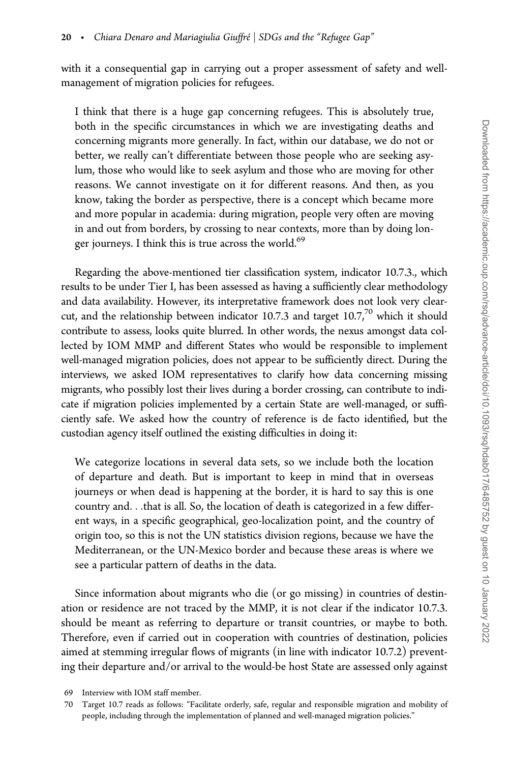with it a consequential gap in carrying out a proper assessment of safety and wellmanagement of migration policies for refugees.

I think that there is a huge gap concerning refugees. This is absolutely true, both in the specific circumstances in which we are investigating deaths and concerning migrants more generally. In fact, within our database, we do not or better, we really can't differentiate between those people who are seeking asylum, those who would like to seek asylum and those who are moving for other reasons. We cannot investigate on it for different reasons. And then, as you know, taking the border as perspective, there is a concept which became more and more popular in academia: during migration, people very often are moving in and out from borders, by crossing to near contexts, more than by doing longer journeys. I think this is true across the world.<sup>69</sup>

Regarding the above-mentioned tier classification system, indicator 10.7.3., which results to be under Tier I, has been assessed as having a sufficiently clear methodology and data availability. However, its interpretative framework does not look very clearcut, and the relationship between indicator 10.7.3 and target  $10.7<sup>70</sup>$  which it should contribute to assess, looks quite blurred. In other words, the nexus amongst data collected by IOM MMP and different States who would be responsible to implement well-managed migration policies, does not appear to be sufficiently direct. During the interviews, we asked IOM representatives to clarify how data concerning missing migrants, who possibly lost their lives during a border crossing, can contribute to indicate if migration policies implemented by a certain State are well-managed, or sufficiently safe. We asked how the country of reference is de facto identified, but the custodian agency itself outlined the existing difficulties in doing it:

We categorize locations in several data sets, so we include both the location of departure and death. But is important to keep in mind that in overseas journeys or when dead is happening at the border, it is hard to say this is one country and...that is all. So, the location of death is categorized in a few different ways, in a specific geographical, geo-localization point, and the country of origin too, so this is not the UN statistics division regions, because we have the Mediterranean, or the UN-Mexico border and because these areas is where we see a particular pattern of deaths in the data.

Since information about migrants who die (or go missing) in countries of destination or residence are not traced by the MMP, it is not clear if the indicator 10.7.3. should be meant as referring to departure or transit countries, or maybe to both. Therefore, even if carried out in cooperation with countries of destination, policies aimed at stemming irregular flows of migrants (in line with indicator 10.7.2) preventing their departure and/or arrival to the would-be host State are assessed only against

<sup>69</sup> Interview with IOM staff member.

<sup>70</sup> Target 10.7 reads as follows: "Facilitate orderly, safe, regular and responsible migration and mobility of people, including through the implementation of planned and well-managed migration policies."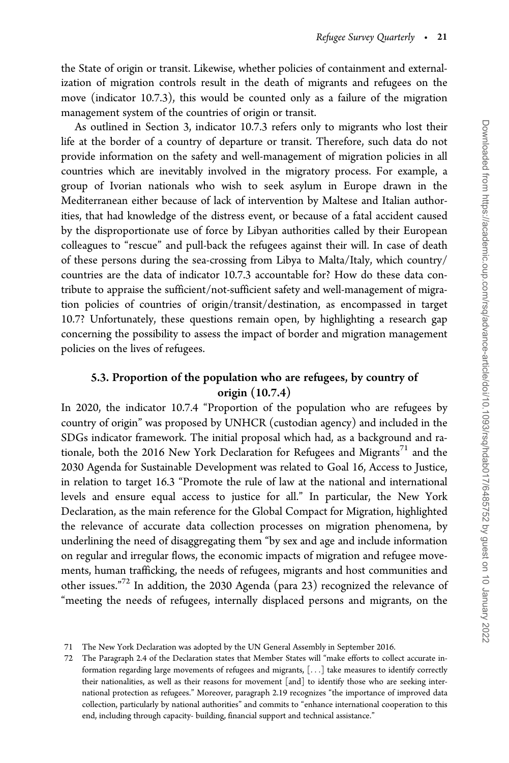the State of origin or transit. Likewise, whether policies of containment and externalization of migration controls result in the death of migrants and refugees on the move (indicator 10.7.3), this would be counted only as a failure of the migration management system of the countries of origin or transit.

As outlined in Section 3, indicator 10.7.3 refers only to migrants who lost their life at the border of a country of departure or transit. Therefore, such data do not provide information on the safety and well-management of migration policies in all countries which are inevitably involved in the migratory process. For example, a group of Ivorian nationals who wish to seek asylum in Europe drawn in the Mediterranean either because of lack of intervention by Maltese and Italian authorities, that had knowledge of the distress event, or because of a fatal accident caused by the disproportionate use of force by Libyan authorities called by their European colleagues to "rescue" and pull-back the refugees against their will. In case of death of these persons during the sea-crossing from Libya to Malta/Italy, which country/ countries are the data of indicator 10.7.3 accountable for? How do these data contribute to appraise the sufficient/not-sufficient safety and well-management of migration policies of countries of origin/transit/destination, as encompassed in target 10.7? Unfortunately, these questions remain open, by highlighting a research gap concerning the possibility to assess the impact of border and migration management policies on the lives of refugees.

## 5.3. Proportion of the population who are refugees, by country of origin (10.7.4)

In 2020, the indicator 10.7.4 "Proportion of the population who are refugees by country of origin" was proposed by UNHCR (custodian agency) and included in the SDGs indicator framework. The initial proposal which had, as a background and rationale, both the 2016 New York Declaration for Refugees and Migrants<sup>71</sup> and the 2030 Agenda for Sustainable Development was related to Goal 16, Access to Justice, in relation to target 16.3 "Promote the rule of law at the national and international levels and ensure equal access to justice for all." In particular, the New York Declaration, as the main reference for the Global Compact for Migration, highlighted the relevance of accurate data collection processes on migration phenomena, by underlining the need of disaggregating them "by sex and age and include information on regular and irregular flows, the economic impacts of migration and refugee movements, human trafficking, the needs of refugees, migrants and host communities and other issues."<sup>72</sup> In addition, the 2030 Agenda (para 23) recognized the relevance of "meeting the needs of refugees, internally displaced persons and migrants, on the

<sup>71</sup> The New York Declaration was adopted by the UN General Assembly in September 2016.

<sup>72</sup> The Paragraph 2.4 of the Declaration states that Member States will "make efforts to collect accurate information regarding large movements of refugees and migrants, [...] take measures to identify correctly their nationalities, as well as their reasons for movement [and] to identify those who are seeking international protection as refugees." Moreover, paragraph 2.19 recognizes "the importance of improved data collection, particularly by national authorities" and commits to "enhance international cooperation to this end, including through capacity- building, financial support and technical assistance."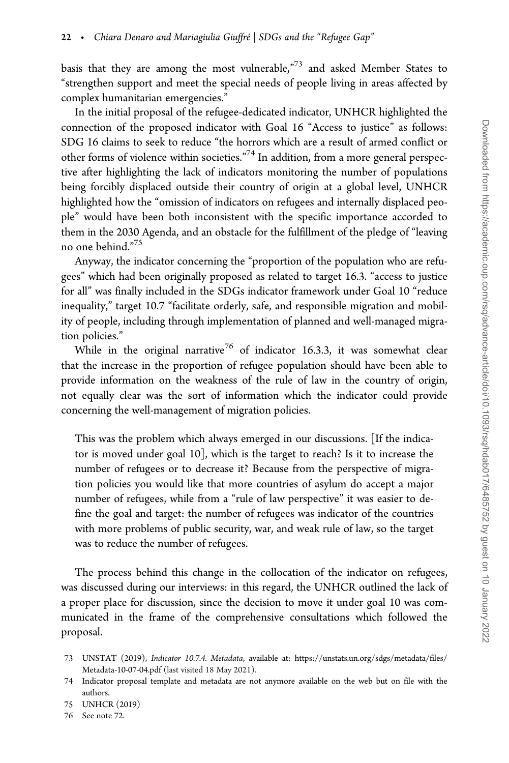basis that they are among the most vulnerable,"<sup>73</sup> and asked Member States to "strengthen support and meet the special needs of people living in areas affected by complex humanitarian emergencies."

In the initial proposal of the refugee-dedicated indicator, UNHCR highlighted the connection of the proposed indicator with Goal 16 "Access to justice" as follows: SDG 16 claims to seek to reduce "the horrors which are a result of armed conflict or other forms of violence within societies."74 In addition, from a more general perspective after highlighting the lack of indicators monitoring the number of populations being forcibly displaced outside their country of origin at a global level, UNHCR highlighted how the "omission of indicators on refugees and internally displaced people" would have been both inconsistent with the specific importance accorded to them in the 2030 Agenda, and an obstacle for the fulfillment of the pledge of "leaving no one behind."75

Anyway, the indicator concerning the "proportion of the population who are refugees" which had been originally proposed as related to target 16.3. "access to justice for all" was finally included in the SDGs indicator framework under Goal 10 "reduce inequality," target 10.7 "facilitate orderly, safe, and responsible migration and mobility of people, including through implementation of planned and well-managed migration policies."

While in the original narrative<sup>76</sup> of indicator 16.3.3, it was somewhat clear that the increase in the proportion of refugee population should have been able to provide information on the weakness of the rule of law in the country of origin, not equally clear was the sort of information which the indicator could provide concerning the well-management of migration policies.

This was the problem which always emerged in our discussions. [If the indicator is moved under goal 10], which is the target to reach? Is it to increase the number of refugees or to decrease it? Because from the perspective of migration policies you would like that more countries of asylum do accept a major number of refugees, while from a "rule of law perspective" it was easier to define the goal and target: the number of refugees was indicator of the countries with more problems of public security, war, and weak rule of law, so the target was to reduce the number of refugees.

The process behind this change in the collocation of the indicator on refugees, was discussed during our interviews: in this regard, the UNHCR outlined the lack of a proper place for discussion, since the decision to move it under goal 10 was communicated in the frame of the comprehensive consultations which followed the proposal.

<sup>73</sup> UNSTAT (2019), Indicator 10.7.4. Metadata, available at: [https://unstats.un.org/sdgs/metadata/files/](https://unstats.un.org/sdgs/metadata/files/Metadata-10-07-04.pdf) [Metadata-10-07-04.pdf](https://unstats.un.org/sdgs/metadata/files/Metadata-10-07-04.pdf) (last visited 18 May 2021).

<sup>74</sup> Indicator proposal template and metadata are not anymore available on the web but on file with the authors.

<sup>75</sup> UNHCR (2019)

<sup>76</sup> See note 72.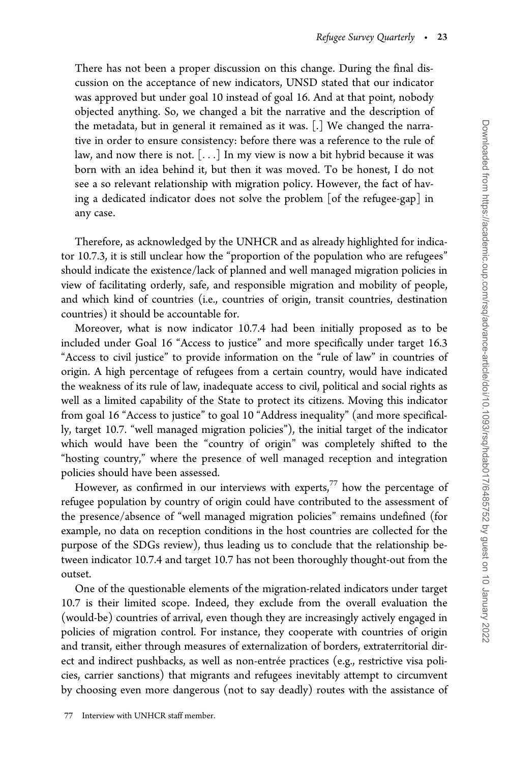There has not been a proper discussion on this change. During the final discussion on the acceptance of new indicators, UNSD stated that our indicator was approved but under goal 10 instead of goal 16. And at that point, nobody objected anything. So, we changed a bit the narrative and the description of the metadata, but in general it remained as it was. [.] We changed the narrative in order to ensure consistency: before there was a reference to the rule of law, and now there is not. [...] In my view is now a bit hybrid because it was born with an idea behind it, but then it was moved. To be honest, I do not see a so relevant relationship with migration policy. However, the fact of having a dedicated indicator does not solve the problem [of the refugee-gap] in any case.

Therefore, as acknowledged by the UNHCR and as already highlighted for indicator 10.7.3, it is still unclear how the "proportion of the population who are refugees" should indicate the existence/lack of planned and well managed migration policies in view of facilitating orderly, safe, and responsible migration and mobility of people, and which kind of countries (i.e., countries of origin, transit countries, destination countries) it should be accountable for.

Moreover, what is now indicator 10.7.4 had been initially proposed as to be included under Goal 16 "Access to justice" and more specifically under target 16.3 "Access to civil justice" to provide information on the "rule of law" in countries of origin. A high percentage of refugees from a certain country, would have indicated the weakness of its rule of law, inadequate access to civil, political and social rights as well as a limited capability of the State to protect its citizens. Moving this indicator from goal 16 "Access to justice" to goal 10 "Address inequality" (and more specifically, target 10.7. "well managed migration policies"), the initial target of the indicator which would have been the "country of origin" was completely shifted to the "hosting country," where the presence of well managed reception and integration policies should have been assessed.

However, as confirmed in our interviews with experts, $77$  how the percentage of refugee population by country of origin could have contributed to the assessment of the presence/absence of "well managed migration policies" remains undefined (for example, no data on reception conditions in the host countries are collected for the purpose of the SDGs review), thus leading us to conclude that the relationship between indicator 10.7.4 and target 10.7 has not been thoroughly thought-out from the outset.

One of the questionable elements of the migration-related indicators under target 10.7 is their limited scope. Indeed, they exclude from the overall evaluation the (would-be) countries of arrival, even though they are increasingly actively engaged in policies of migration control. For instance, they cooperate with countries of origin and transit, either through measures of externalization of borders, extraterritorial direct and indirect pushbacks, as well as non-entrée practices (e.g., restrictive visa policies, carrier sanctions) that migrants and refugees inevitably attempt to circumvent by choosing even more dangerous (not to say deadly) routes with the assistance of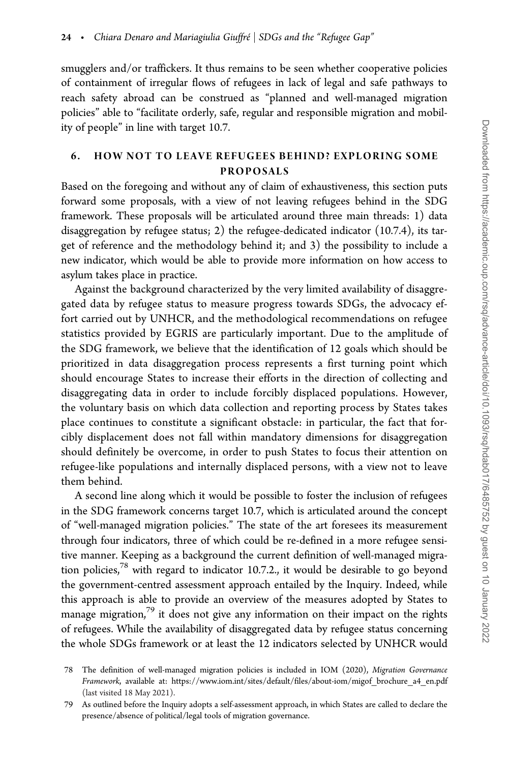smugglers and/or traffickers. It thus remains to be seen whether cooperative policies of containment of irregular flows of refugees in lack of legal and safe pathways to reach safety abroad can be construed as "planned and well-managed migration policies" able to "facilitate orderly, safe, regular and responsible migration and mobility of people" in line with target 10.7.

#### 6. HOW NOT TO LEAVE REFUGEES BEHIND? EXPLORING SOME PROPOSALS

Based on the foregoing and without any of claim of exhaustiveness, this section puts forward some proposals, with a view of not leaving refugees behind in the SDG framework. These proposals will be articulated around three main threads: 1) data disaggregation by refugee status; 2) the refugee-dedicated indicator (10.7.4), its target of reference and the methodology behind it; and 3) the possibility to include a new indicator, which would be able to provide more information on how access to asylum takes place in practice.

Against the background characterized by the very limited availability of disaggregated data by refugee status to measure progress towards SDGs, the advocacy effort carried out by UNHCR, and the methodological recommendations on refugee statistics provided by EGRIS are particularly important. Due to the amplitude of the SDG framework, we believe that the identification of 12 goals which should be prioritized in data disaggregation process represents a first turning point which should encourage States to increase their efforts in the direction of collecting and disaggregating data in order to include forcibly displaced populations. However, the voluntary basis on which data collection and reporting process by States takes place continues to constitute a significant obstacle: in particular, the fact that forcibly displacement does not fall within mandatory dimensions for disaggregation should definitely be overcome, in order to push States to focus their attention on refugee-like populations and internally displaced persons, with a view not to leave them behind.

A second line along which it would be possible to foster the inclusion of refugees in the SDG framework concerns target 10.7, which is articulated around the concept of "well-managed migration policies." The state of the art foresees its measurement through four indicators, three of which could be re-defined in a more refugee sensitive manner. Keeping as a background the current definition of well-managed migration policies,78 with regard to indicator 10.7.2., it would be desirable to go beyond the government-centred assessment approach entailed by the Inquiry. Indeed, while this approach is able to provide an overview of the measures adopted by States to manage migration, $79$  it does not give any information on their impact on the rights of refugees. While the availability of disaggregated data by refugee status concerning the whole SDGs framework or at least the 12 indicators selected by UNHCR would

<sup>78</sup> The definition of well-managed migration policies is included in IOM (2020), Migration Governance Framework, available at: [https://www.iom.int/sites/default/files/about-iom/migof\\_brochure\\_a4\\_en.pdf](https://www.iom.int/sites/default/files/about-iom/migof_brochure_a4_en.pdf) (last visited 18 May 2021).

<sup>79</sup> As outlined before the Inquiry adopts a self-assessment approach, in which States are called to declare the presence/absence of political/legal tools of migration governance.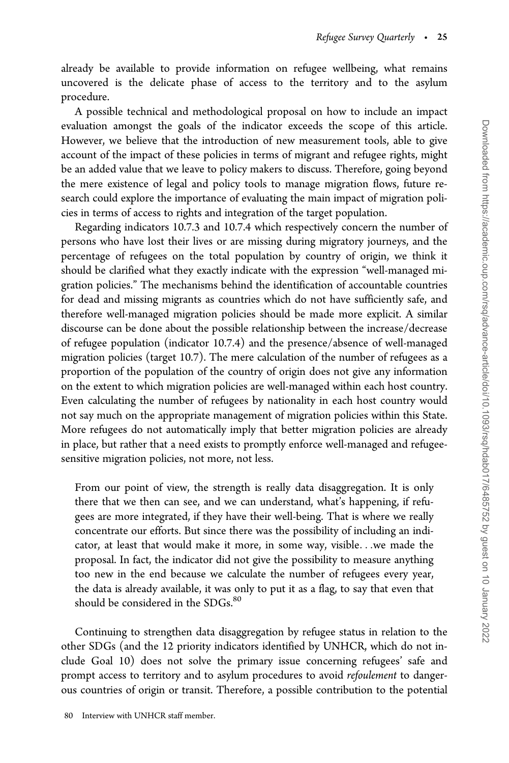already be available to provide information on refugee wellbeing, what remains uncovered is the delicate phase of access to the territory and to the asylum procedure.

A possible technical and methodological proposal on how to include an impact evaluation amongst the goals of the indicator exceeds the scope of this article. However, we believe that the introduction of new measurement tools, able to give account of the impact of these policies in terms of migrant and refugee rights, might be an added value that we leave to policy makers to discuss. Therefore, going beyond the mere existence of legal and policy tools to manage migration flows, future research could explore the importance of evaluating the main impact of migration policies in terms of access to rights and integration of the target population.

Regarding indicators 10.7.3 and 10.7.4 which respectively concern the number of persons who have lost their lives or are missing during migratory journeys, and the percentage of refugees on the total population by country of origin, we think it should be clarified what they exactly indicate with the expression "well-managed migration policies." The mechanisms behind the identification of accountable countries for dead and missing migrants as countries which do not have sufficiently safe, and therefore well-managed migration policies should be made more explicit. A similar discourse can be done about the possible relationship between the increase/decrease of refugee population (indicator 10.7.4) and the presence/absence of well-managed migration policies (target 10.7). The mere calculation of the number of refugees as a proportion of the population of the country of origin does not give any information on the extent to which migration policies are well-managed within each host country. Even calculating the number of refugees by nationality in each host country would not say much on the appropriate management of migration policies within this State. More refugees do not automatically imply that better migration policies are already in place, but rather that a need exists to promptly enforce well-managed and refugeesensitive migration policies, not more, not less.

From our point of view, the strength is really data disaggregation. It is only there that we then can see, and we can understand, what's happening, if refugees are more integrated, if they have their well-being. That is where we really concentrate our efforts. But since there was the possibility of including an indicator, at least that would make it more, in some way, visible...we made the proposal. In fact, the indicator did not give the possibility to measure anything too new in the end because we calculate the number of refugees every year, the data is already available, it was only to put it as a flag, to say that even that should be considered in the SDGs.<sup>80</sup>

Continuing to strengthen data disaggregation by refugee status in relation to the other SDGs (and the 12 priority indicators identified by UNHCR, which do not include Goal 10) does not solve the primary issue concerning refugees' safe and prompt access to territory and to asylum procedures to avoid refoulement to dangerous countries of origin or transit. Therefore, a possible contribution to the potential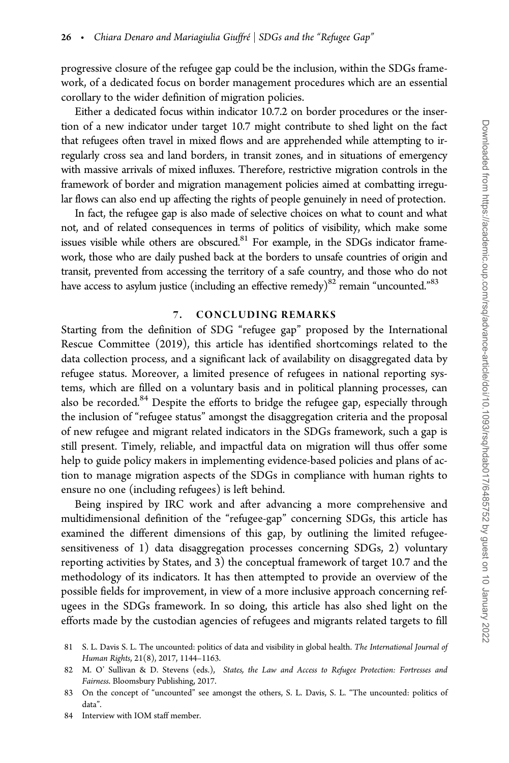progressive closure of the refugee gap could be the inclusion, within the SDGs framework, of a dedicated focus on border management procedures which are an essential corollary to the wider definition of migration policies.

Either a dedicated focus within indicator 10.7.2 on border procedures or the insertion of a new indicator under target 10.7 might contribute to shed light on the fact that refugees often travel in mixed flows and are apprehended while attempting to irregularly cross sea and land borders, in transit zones, and in situations of emergency with massive arrivals of mixed influxes. Therefore, restrictive migration controls in the framework of border and migration management policies aimed at combatting irregular flows can also end up affecting the rights of people genuinely in need of protection.

In fact, the refugee gap is also made of selective choices on what to count and what not, and of related consequences in terms of politics of visibility, which make some issues visible while others are obscured.<sup>81</sup> For example, in the SDGs indicator framework, those who are daily pushed back at the borders to unsafe countries of origin and transit, prevented from accessing the territory of a safe country, and those who do not have access to asylum justice (including an effective remedy)<sup>82</sup> remain "uncounted."<sup>83</sup>

#### 7. CONCLUDING REMARKS

Starting from the definition of SDG "refugee gap" proposed by the International Rescue Committee (2019), this article has identified shortcomings related to the data collection process, and a significant lack of availability on disaggregated data by refugee status. Moreover, a limited presence of refugees in national reporting systems, which are filled on a voluntary basis and in political planning processes, can also be recorded.<sup>84</sup> Despite the efforts to bridge the refugee gap, especially through the inclusion of "refugee status" amongst the disaggregation criteria and the proposal of new refugee and migrant related indicators in the SDGs framework, such a gap is still present. Timely, reliable, and impactful data on migration will thus offer some help to guide policy makers in implementing evidence-based policies and plans of action to manage migration aspects of the SDGs in compliance with human rights to ensure no one (including refugees) is left behind.

Being inspired by IRC work and after advancing a more comprehensive and multidimensional definition of the "refugee-gap" concerning SDGs, this article has examined the different dimensions of this gap, by outlining the limited refugeesensitiveness of 1) data disaggregation processes concerning SDGs, 2) voluntary reporting activities by States, and 3) the conceptual framework of target 10.7 and the methodology of its indicators. It has then attempted to provide an overview of the possible fields for improvement, in view of a more inclusive approach concerning refugees in the SDGs framework. In so doing, this article has also shed light on the efforts made by the custodian agencies of refugees and migrants related targets to fill

84 Interview with IOM staff member.

<sup>81</sup> S. L. Davis S. L. The uncounted: politics of data and visibility in global health. The International Journal of Human Rights, 21(8), 2017, 1144–1163.

<sup>82</sup> M. O' Sullivan & D. Stevens (eds.), States, the Law and Access to Refugee Protection: Fortresses and Fairness. Bloomsbury Publishing, 2017.

<sup>83</sup> On the concept of "uncounted" see amongst the others, S. L. Davis, S. L. "The uncounted: politics of data".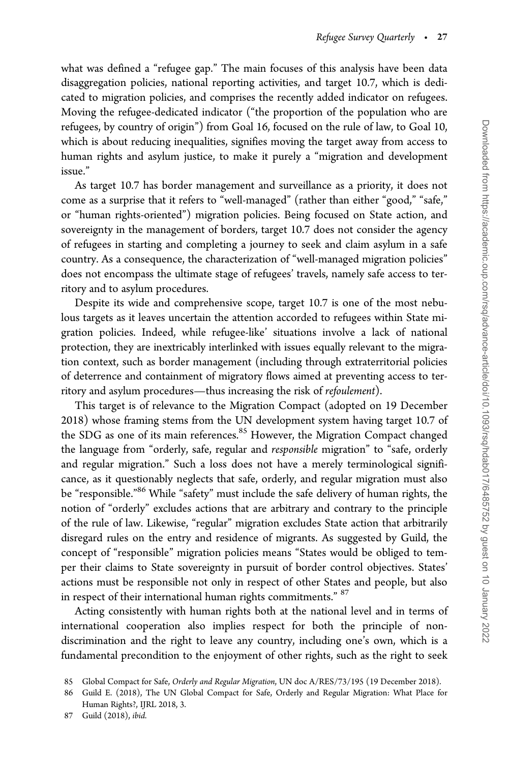what was defined a "refugee gap." The main focuses of this analysis have been data disaggregation policies, national reporting activities, and target 10.7, which is dedicated to migration policies, and comprises the recently added indicator on refugees. Moving the refugee-dedicated indicator ("the proportion of the population who are refugees, by country of origin") from Goal 16, focused on the rule of law, to Goal 10, which is about reducing inequalities, signifies moving the target away from access to human rights and asylum justice, to make it purely a "migration and development issue."

As target 10.7 has border management and surveillance as a priority, it does not come as a surprise that it refers to "well-managed" (rather than either "good," "safe," or "human rights-oriented") migration policies. Being focused on State action, and sovereignty in the management of borders, target 10.7 does not consider the agency of refugees in starting and completing a journey to seek and claim asylum in a safe country. As a consequence, the characterization of "well-managed migration policies" does not encompass the ultimate stage of refugees' travels, namely safe access to territory and to asylum procedures.

Despite its wide and comprehensive scope, target 10.7 is one of the most nebulous targets as it leaves uncertain the attention accorded to refugees within State migration policies. Indeed, while refugee-like' situations involve a lack of national protection, they are inextricably interlinked with issues equally relevant to the migration context, such as border management (including through extraterritorial policies of deterrence and containment of migratory flows aimed at preventing access to territory and asylum procedures—thus increasing the risk of refoulement).

This target is of relevance to the Migration Compact (adopted on 19 December 2018) whose framing stems from the UN development system having target 10.7 of the SDG as one of its main references.<sup>85</sup> However, the Migration Compact changed the language from "orderly, safe, regular and responsible migration" to "safe, orderly and regular migration." Such a loss does not have a merely terminological significance, as it questionably neglects that safe, orderly, and regular migration must also be "responsible."<sup>86</sup> While "safety" must include the safe delivery of human rights, the notion of "orderly" excludes actions that are arbitrary and contrary to the principle of the rule of law. Likewise, "regular" migration excludes State action that arbitrarily disregard rules on the entry and residence of migrants. As suggested by Guild, the concept of "responsible" migration policies means "States would be obliged to temper their claims to State sovereignty in pursuit of border control objectives. States' actions must be responsible not only in respect of other States and people, but also in respect of their international human rights commitments." <sup>87</sup>

Acting consistently with human rights both at the national level and in terms of international cooperation also implies respect for both the principle of nondiscrimination and the right to leave any country, including one's own, which is a fundamental precondition to the enjoyment of other rights, such as the right to seek

<sup>85</sup> Global Compact for Safe, Orderly and Regular Migration, UN doc A/RES/73/195 (19 December 2018).

<sup>86</sup> Guild E. (2018), The UN Global Compact for Safe, Orderly and Regular Migration: What Place for Human Rights?, IJRL 2018, 3.

<sup>87</sup> Guild (2018), ibid.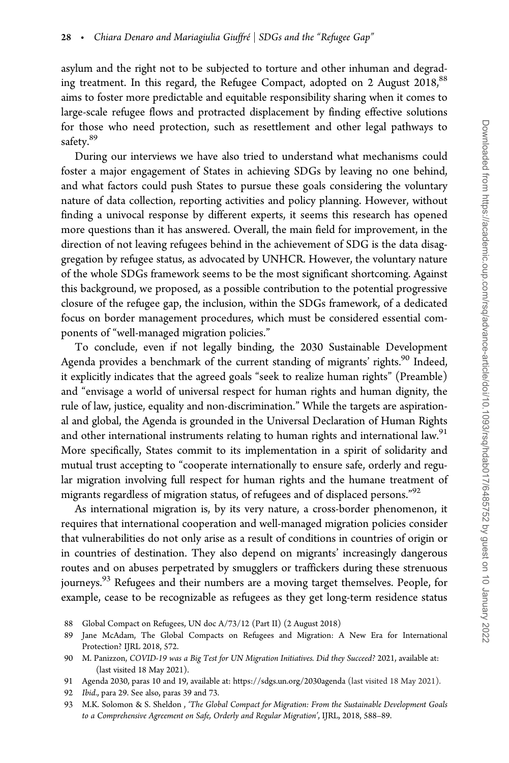asylum and the right not to be subjected to torture and other inhuman and degrading treatment. In this regard, the Refugee Compact, adopted on 2 August  $2018$ ,<sup>88</sup> aims to foster more predictable and equitable responsibility sharing when it comes to large-scale refugee flows and protracted displacement by finding effective solutions for those who need protection, such as resettlement and other legal pathways to safety.<sup>89</sup>

During our interviews we have also tried to understand what mechanisms could foster a major engagement of States in achieving SDGs by leaving no one behind, and what factors could push States to pursue these goals considering the voluntary nature of data collection, reporting activities and policy planning. However, without finding a univocal response by different experts, it seems this research has opened more questions than it has answered. Overall, the main field for improvement, in the direction of not leaving refugees behind in the achievement of SDG is the data disaggregation by refugee status, as advocated by UNHCR. However, the voluntary nature of the whole SDGs framework seems to be the most significant shortcoming. Against this background, we proposed, as a possible contribution to the potential progressive closure of the refugee gap, the inclusion, within the SDGs framework, of a dedicated focus on border management procedures, which must be considered essential components of "well-managed migration policies."

To conclude, even if not legally binding, the 2030 Sustainable Development Agenda provides a benchmark of the current standing of migrants' rights.<sup>90</sup> Indeed, it explicitly indicates that the agreed goals "seek to realize human rights" (Preamble) and "envisage a world of universal respect for human rights and human dignity, the rule of law, justice, equality and non-discrimination." While the targets are aspirational and global, the Agenda is grounded in the Universal Declaration of Human Rights and other international instruments relating to human rights and international law.<sup>91</sup> More specifically, States commit to its implementation in a spirit of solidarity and mutual trust accepting to "cooperate internationally to ensure safe, orderly and regular migration involving full respect for human rights and the humane treatment of migrants regardless of migration status, of refugees and of displaced persons."<sup>92</sup>

As international migration is, by its very nature, a cross-border phenomenon, it requires that international cooperation and well-managed migration policies consider that vulnerabilities do not only arise as a result of conditions in countries of origin or in countries of destination. They also depend on migrants' increasingly dangerous routes and on abuses perpetrated by smugglers or traffickers during these strenuous journeys.<sup>93</sup> Refugees and their numbers are a moving target themselves. People, for example, cease to be recognizable as refugees as they get long-term residence status

91 Agenda 2030, paras 10 and 19, available at:<https://sdgs.un.org/2030agenda> (last visited 18 May 2021).

<sup>88</sup> Global Compact on Refugees, UN doc A/73/12 (Part II) (2 August 2018)

<sup>89</sup> Jane McAdam, The Global Compacts on Refugees and Migration: A New Era for International Protection? IJRL 2018, 572.

<sup>90</sup> M. Panizzon, COVID-19 was a Big Test for UN Migration Initiatives. Did they Succeed? 2021, available at: (last visited 18 May 2021).

<sup>92</sup> Ibid., para 29. See also, paras 39 and 73.

<sup>93</sup> M.K. Solomon & S. Sheldon , 'The Global Compact for Migration: From the Sustainable Development Goals to a Comprehensive Agreement on Safe, Orderly and Regular Migration', IJRL, 2018, 588–89.